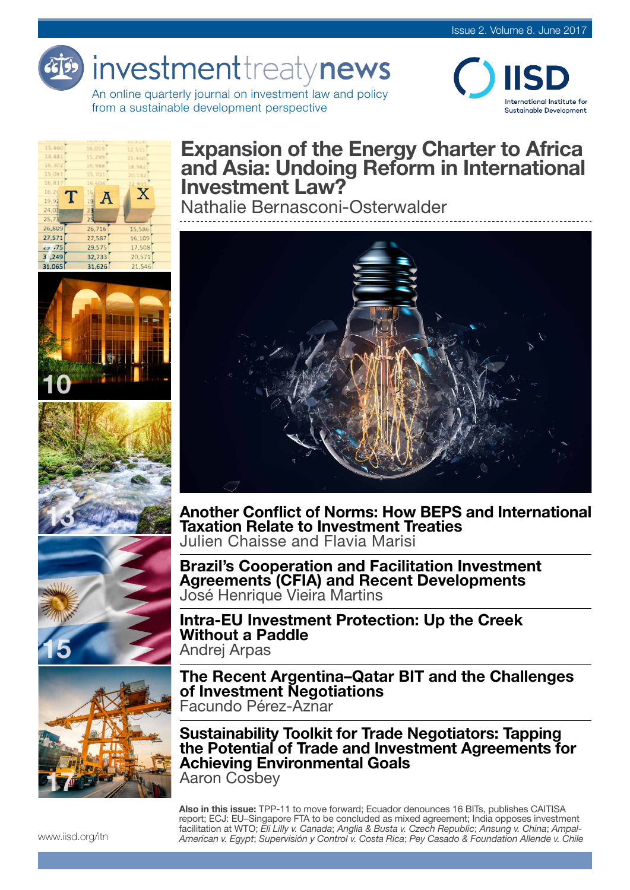# investmenttreatynews

An online quarterly journal on investment law and policy from a sustainable development perspective









# Expansion of the Energy Charter to Africa and Asia: Undoing Reform in International Investment Law?

Nathalie Bernasconi-Osterwalder



Another Conflict of Norms: How BEPS and International Taxation Relate to Investment Treaties Julien Chaisse and Flavia Marisi

Brazil's Cooperation and Facilitation Investment Agreements (CFIA) and Recent Developments José Henrique Vieira Martins

Intra-EU Investment Protection: Up the Creek Without a Paddle Andrej Arpas



The Recent Argentina–Qatar BIT and the Challenges of Investment Negotiations Facundo Pérez-Aznar

Sustainability Toolkit for Trade Negotiators: Tapping the Potential of Trade and Investment Agreements for Achieving Environmental Goals Aaron Cosbey

Also in this issue: TPP-11 to move forward; Ecuador denounces 16 BITs, publishes CAITISA report; ECJ: EU–Singapore FTA to be concluded as mixed agreement; India opposes investment facilitation at WTO; *Eli Lilly v. Canada*; *Anglia & Busta v. Czech Republic*; *Ansung v. China*; *Ampal-American v. Egypt*; *Supervisión y Control v. Costa Rica*; *Pey Casado & Foundation Allende v. Chile*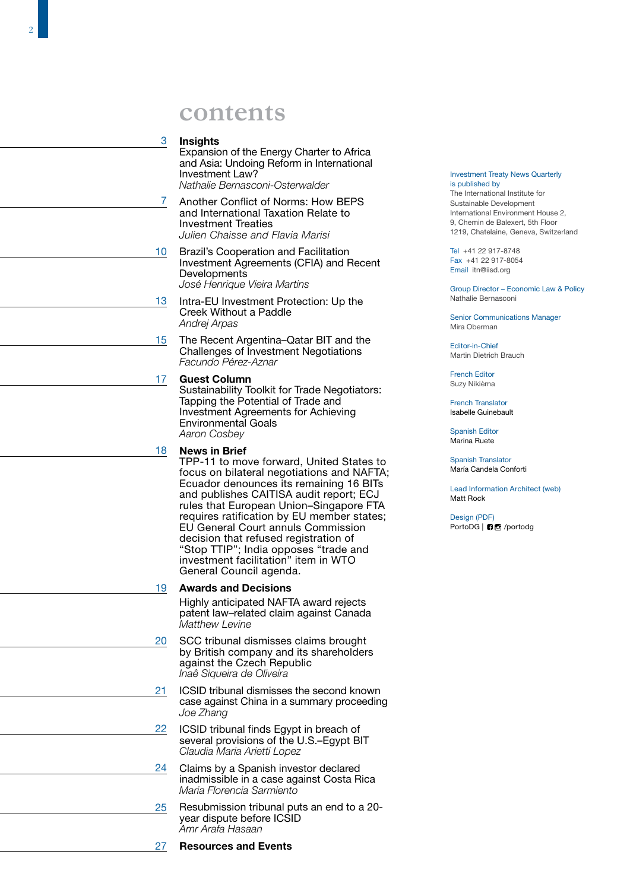# **contents**

### 3 **Insights**

Expansion of the Energy Charter to Africa and Asia: Undoing Reform in International Investment Law? *Nathalie Bernasconi-Osterwalder*

- 3<br>7  $\overline{7}$ Another Conflict of Norms: How BEPS and International Taxation Relate to Investment Treaties *Julien Chaisse and Flavia Marisi*
- Brazil's Cooperation and Facilitation Investment Agreements (CFIA) and Recent **Developments** *José Henrique Vieira Martins* 10
- Intra-EU Investment Protection: Up the Creek Without a Paddle *Andrej Arpas* 13
- The Recent Argentina–Qatar BIT and the Challenges of Investment Negotiations *Facundo Pérez-Aznar* 15

### Guest Column 17

Sustainability Toolkit for Trade Negotiators: Tapping the Potential of Trade and Investment Agreements for Achieving Environmental Goals *Aaron Cosbey*

### News in Brief 18

TPP-11 to move forward, United States to focus on bilateral negotiations and NAFTA; Ecuador denounces its remaining 16 BITs and publishes CAITISA audit report; ECJ rules that European Union–Singapore FTA requires ratification by EU member states; EU General Court annuls Commission decision that refused registration of "Stop TTIP"; India opposes "trade and investment facilitation" item in WTO General Council agenda.

### Awards and Decisions 19

Highly anticipated NAFTA award rejects patent law–related claim against Canada *Matthew Levine* 

- SCC tribunal dismisses claims brought by British company and its shareholders against the Czech Republic *Inaê Siqueira de Oliveira* 20
- ICSID tribunal dismisses the second known case against China in a summary proceeding *Joe Zhang*  21
- ICSID tribunal finds Egypt in breach of several provisions of the U.S.–Egypt BIT *Claudia Maria Arietti Lopez*  22
- Claims by a Spanish investor declared inadmissible in a case against Costa Rica *Maria Florencia Sarmiento*  24
- Resubmission tribunal puts an end to a 20 year dispute before ICSID *Amr Arafa Hasaan*  25

### Investment Treaty News Quarterly is published by

The International Institute for Sustainable Development International Environment House 2, 9, Chemin de Balexert, 5th Floor 1219, Chatelaine, Geneva, Switzerland

Tel +41 22 917-8748 Fax +41 22 917-8054 Email itn@iisd.org

Group Director – Economic Law & Policy Nathalie Bernasconi

Senior Communications Manager Mira Oberman

Editor-in-Chief Martin Dietrich Brauch

French Editor Suzy Nikièma

French Translator Isabelle Guinebault

Spanish Editor Marina Ruete

Spanish Translator María Candela Conforti

Lead Information Architect (web) Matt Rock

Design (PDF) [PortoDG |](https://www.facebook.com/portodg) **6** [/portodg](https://www.instagram.com/portodg/)

### Resources and Events 27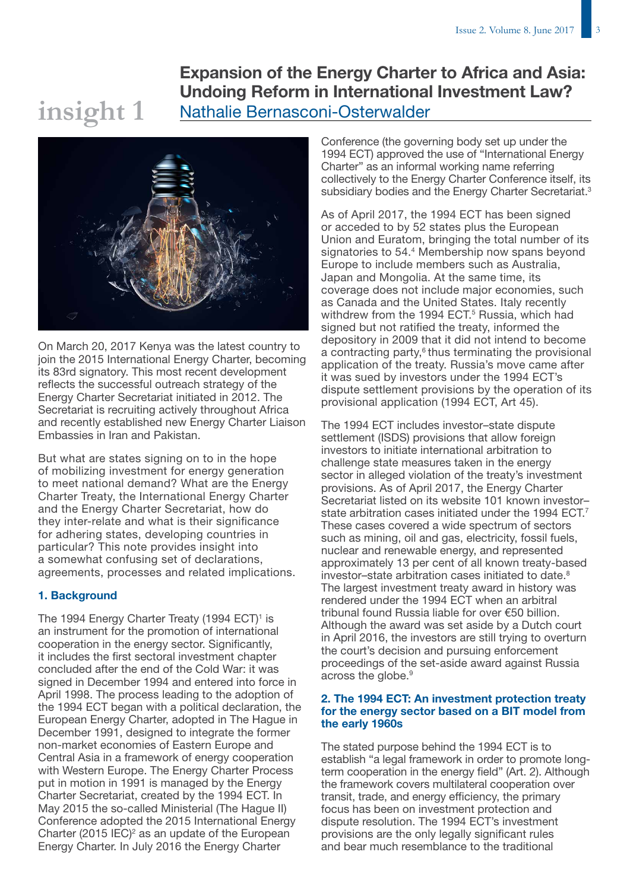# Expansion of the Energy Charter to Africa and Asia: Undoing Reform in International Investment Law? Nathalie Bernasconi-Osterwalder



**insight 1**

On March 20, 2017 Kenya was the latest country to join the 2015 International Energy Charter, becoming its 83rd signatory. This most recent development reflects the successful outreach strategy of the Energy Charter Secretariat initiated in 2012. The Secretariat is recruiting actively throughout Africa and recently established new Energy Charter Liaison Embassies in Iran and Pakistan.

But what are states signing on to in the hope of mobilizing investment for energy generation to meet national demand? What are the Energy Charter Treaty, the International Energy Charter and the Energy Charter Secretariat, how do they inter-relate and what is their significance for adhering states, developing countries in particular? This note provides insight into a somewhat confusing set of declarations, agreements, processes and related implications.

### 1. Background

The 1994 Energy Charter Treaty (1994 ECT)<sup>1</sup> is an instrument for the promotion of international cooperation in the energy sector. Significantly, it includes the first sectoral investment chapter concluded after the end of the Cold War: it was signed in December 1994 and entered into force in April 1998. The process leading to the adoption of the 1994 ECT began with a political declaration, the European Energy Charter, adopted in The Hague in December 1991, designed to integrate the former non-market economies of Eastern Europe and Central Asia in a framework of energy cooperation with Western Europe. The Energy Charter Process put in motion in 1991 is managed by the Energy Charter Secretariat, created by the 1994 ECT. In May 2015 the so-called Ministerial (The Hague II) Conference adopted the 2015 International Energy Charter  $(2015 \, \text{IEC})^2$  as an update of the European Energy Charter. In July 2016 the Energy Charter

Conference (the governing body set up under the 1994 ECT) approved the use of "International Energy Charter" as an informal working name referring collectively to the Energy Charter Conference itself, its subsidiary bodies and the Energy Charter Secretariat.<sup>3</sup>

As of April 2017, the 1994 ECT has been signed or acceded to by 52 states plus the European Union and Euratom, bringing the total number of its signatories to 54.4 Membership now spans beyond Europe to include members such as Australia, Japan and Mongolia. At the same time, its coverage does not include major economies, such as Canada and the United States. Italy recently withdrew from the 1994 ECT.<sup>5</sup> Russia, which had signed but not ratified the treaty, informed the depository in 2009 that it did not intend to become a contracting party, $6$  thus terminating the provisional application of the treaty. Russia's move came after it was sued by investors under the 1994 ECT's dispute settlement provisions by the operation of its provisional application (1994 ECT, Art 45).

The 1994 ECT includes investor–state dispute settlement (ISDS) provisions that allow foreign investors to initiate international arbitration to challenge state measures taken in the energy sector in alleged violation of the treaty's investment provisions. As of April 2017, the Energy Charter Secretariat listed on its website 101 known investor– state arbitration cases initiated under the 1994 ECT.<sup>7</sup> These cases covered a wide spectrum of sectors such as mining, oil and gas, electricity, fossil fuels, nuclear and renewable energy, and represented approximately 13 per cent of all known treaty-based investor–state arbitration cases initiated to date.<sup>8</sup> The largest investment treaty award in history was rendered under the 1994 ECT when an arbitral tribunal found Russia liable for over €50 billion. Although the award was set aside by a Dutch court in April 2016, the investors are still trying to overturn the court's decision and pursuing enforcement proceedings of the set-aside award against Russia across the globe.<sup>9</sup>

### 2. The 1994 ECT: An investment protection treaty for the energy sector based on a BIT model from the early 1960s

The stated purpose behind the 1994 ECT is to establish "a legal framework in order to promote longterm cooperation in the energy field" (Art. 2). Although the framework covers multilateral cooperation over transit, trade, and energy efficiency, the primary focus has been on investment protection and dispute resolution. The 1994 ECT's investment provisions are the only legally significant rules and bear much resemblance to the traditional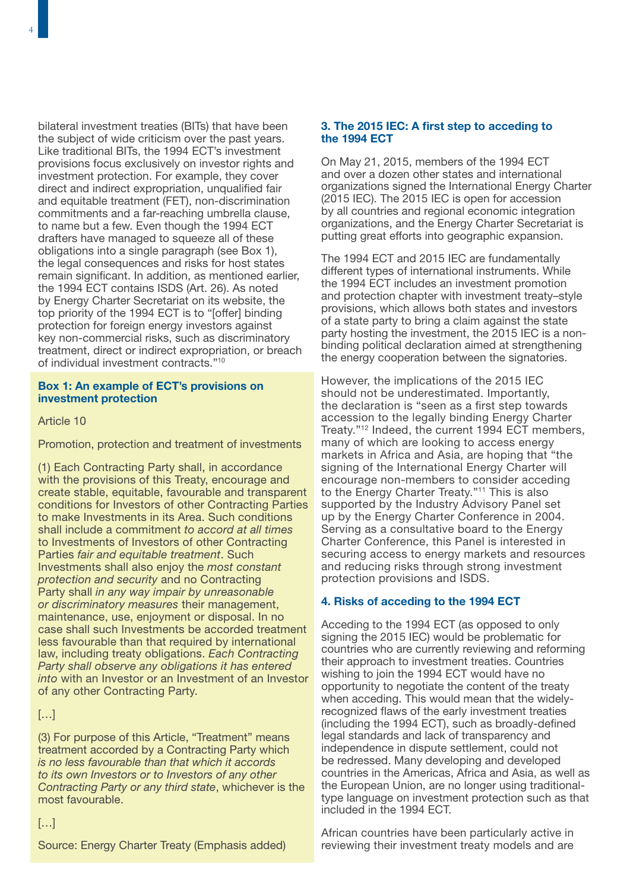4

bilateral investment treaties (BITs) that have been the subject of wide criticism over the past years. Like traditional BITs, the 1994 ECT's investment provisions focus exclusively on investor rights and investment protection. For example, they cover direct and indirect expropriation, unqualified fair and equitable treatment (FET), non-discrimination commitments and a far-reaching umbrella clause, to name but a few. Even though the 1994 ECT drafters have managed to squeeze all of these obligations into a single paragraph (see Box 1), the legal consequences and risks for host states remain significant. In addition, as mentioned earlier, the 1994 ECT contains ISDS (Art. 26). As noted by Energy Charter Secretariat on its website, the top priority of the 1994 ECT is to "[offer] binding protection for foreign energy investors against key non-commercial risks, such as discriminatory treatment, direct or indirect expropriation, or breach of individual investment contracts."10

### Box 1: An example of ECT's provisions on investment protection

### Article 10

Promotion, protection and treatment of investments

(1) Each Contracting Party shall, in accordance with the provisions of this Treaty, encourage and create stable, equitable, favourable and transparent conditions for Investors of other Contracting Parties to make Investments in its Area. Such conditions shall include a commitment *to accord at all times* to Investments of Investors of other Contracting Parties *fair and equitable treatment*. Such Investments shall also enjoy the *most constant protection and security* and no Contracting Party shall *in any way impair by unreasonable or discriminatory measures* their management, maintenance, use, enjoyment or disposal. In no case shall such Investments be accorded treatment less favourable than that required by international law, including treaty obligations. *Each Contracting Party shall observe any obligations it has entered into* with an Investor or an Investment of an Investor of any other Contracting Party.

### $[...]$

(3) For purpose of this Article, "Treatment" means treatment accorded by a Contracting Party which *is no less favourable than that which it accords to its own Investors or to Investors of any other Contracting Party or any third state*, whichever is the most favourable.

### 3. The 2015 IEC: A first step to acceding to the 1994 ECT

On May 21, 2015, members of the 1994 ECT and over a dozen other states and international organizations signed the International Energy Charter (2015 IEC). The 2015 IEC is open for accession by all countries and regional economic integration organizations, and the Energy Charter Secretariat is putting great efforts into geographic expansion.

The 1994 ECT and 2015 IEC are fundamentally different types of international instruments. While the 1994 ECT includes an investment promotion and protection chapter with investment treaty–style provisions, which allows both states and investors of a state party to bring a claim against the state party hosting the investment, the 2015 IEC is a nonbinding political declaration aimed at strengthening the energy cooperation between the signatories.

However, the implications of the 2015 IEC should not be underestimated. Importantly, the declaration is "seen as a first step towards accession to the legally binding Energy Charter Treaty."12 Indeed, the current 1994 ECT members, many of which are looking to access energy markets in Africa and Asia, are hoping that "the signing of the International Energy Charter will encourage non-members to consider acceding to the Energy Charter Treaty."11 This is also supported by the Industry Advisory Panel set up by the Energy Charter Conference in 2004. Serving as a consultative board to the Energy Charter Conference, this Panel is interested in securing access to energy markets and resources and reducing risks through strong investment protection provisions and ISDS.

### 4. Risks of acceding to the 1994 ECT

Acceding to the 1994 ECT (as opposed to only signing the 2015 IEC) would be problematic for countries who are currently reviewing and reforming their approach to investment treaties. Countries wishing to join the 1994 ECT would have no opportunity to negotiate the content of the treaty when acceding. This would mean that the widelyrecognized flaws of the early investment treaties (including the 1994 ECT), such as broadly-defined legal standards and lack of transparency and independence in dispute settlement, could not be redressed. Many developing and developed countries in the Americas, Africa and Asia, as well as the European Union, are no longer using traditionaltype language on investment protection such as that included in the 1994 ECT.

African countries have been particularly active in reviewing their investment treaty models and are

### […]

Source: Energy Charter Treaty (Emphasis added)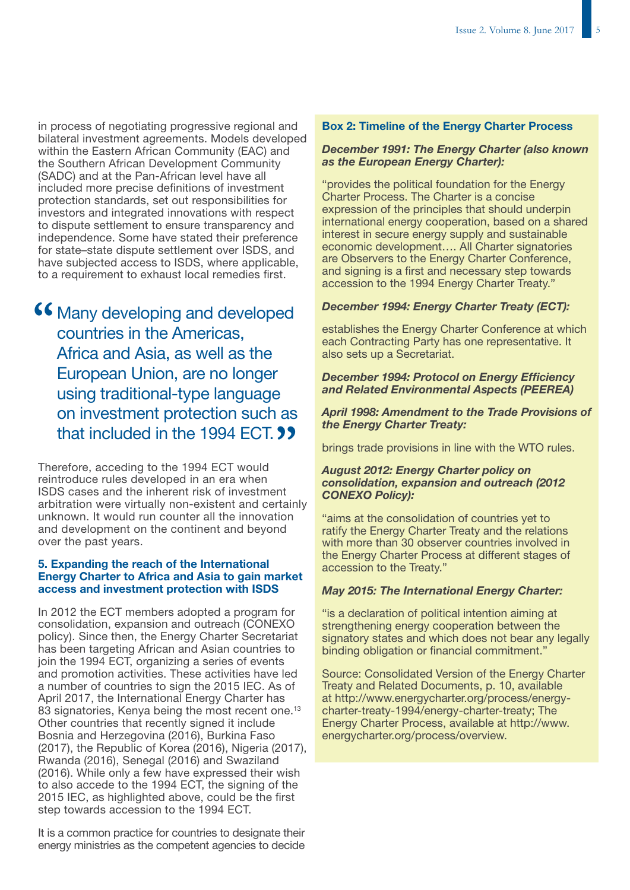in process of negotiating progressive regional and bilateral investment agreements. Models developed within the Eastern African Community (EAC) and the Southern African Development Community (SADC) and at the Pan-African level have all included more precise definitions of investment protection standards, set out responsibilities for investors and integrated innovations with respect to dispute settlement to ensure transparency and independence. Some have stated their preference for state–state dispute settlement over ISDS, and have subjected access to ISDS, where applicable, to a requirement to exhaust local remedies first.

**46 Many developing and developed<br>countries in the Americas,** countries in the Americas, Africa and Asia, as well as the European Union, are no longer using traditional-type language on investment protection such as **that included in the 1994 ECT. ??** 

Therefore, acceding to the 1994 ECT would reintroduce rules developed in an era when ISDS cases and the inherent risk of investment arbitration were virtually non-existent and certainly unknown. It would run counter all the innovation and development on the continent and beyond over the past years.

### 5. Expanding the reach of the International Energy Charter to Africa and Asia to gain market access and investment protection with ISDS

In 2012 the ECT members adopted a program for consolidation, expansion and outreach (CONEXO policy). Since then, the Energy Charter Secretariat has been targeting African and Asian countries to join the 1994 ECT, organizing a series of events and promotion activities. These activities have led a number of countries to sign the 2015 IEC. As of April 2017, the International Energy Charter has 83 signatories, Kenya being the most recent one.<sup>13</sup> Other countries that recently signed it include Bosnia and Herzegovina (2016), Burkina Faso (2017), the Republic of Korea (2016), Nigeria (2017), Rwanda (2016), Senegal (2016) and Swaziland (2016). While only a few have expressed their wish to also accede to the 1994 ECT, the signing of the 2015 IEC, as highlighted above, could be the first step towards accession to the 1994 ECT.

It is a common practice for countries to designate their energy ministries as the competent agencies to decide

### Box 2: Timeline of the Energy Charter Process

### *December 1991: The Energy Charter (also known as the European Energy Charter):*

"provides the political foundation for the Energy Charter Process. The Charter is a concise expression of the principles that should underpin international energy cooperation, based on a shared interest in secure energy supply and sustainable economic development…. All Charter signatories are Observers to the Energy Charter Conference, and signing is a first and necessary step towards accession to the 1994 Energy Charter Treaty."

### *December 1994: Energy Charter Treaty (ECT):*

establishes the Energy Charter Conference at which each Contracting Party has one representative. It also sets up a Secretariat.

### *December 1994: Protocol on Energy Efficiency and Related Environmental Aspects (PEEREA)*

### *April 1998: Amendment to the Trade Provisions of the Energy Charter Treaty:*

brings trade provisions in line with the WTO rules.

### *August 2012: Energy Charter policy on consolidation, expansion and outreach (2012 CONEXO Policy):*

"aims at the consolidation of countries yet to ratify the Energy Charter Treaty and the relations with more than 30 observer countries involved in the Energy Charter Process at different stages of accession to the Treaty."

### *May 2015: The International Energy Charter:*

"is a declaration of political intention aiming at strengthening energy cooperation between the signatory states and which does not bear any legally binding obligation or financial commitment."

Source: Consolidated Version of the Energy Charter Treaty and Related Documents, p. 10, available at [http://www.energycharter.org/process/energy](http://www.energycharter.org/process/energy-charter-treaty-1994/energy-charter-treaty/)[charter-treaty-1994/energy-charter-treaty;](http://www.energycharter.org/process/energy-charter-treaty-1994/energy-charter-treaty/) The Energy Charter Process, available at [http://www.](http://www.energycharter.org/process/overview/) [energycharter.org/process/overview.](http://www.energycharter.org/process/overview/)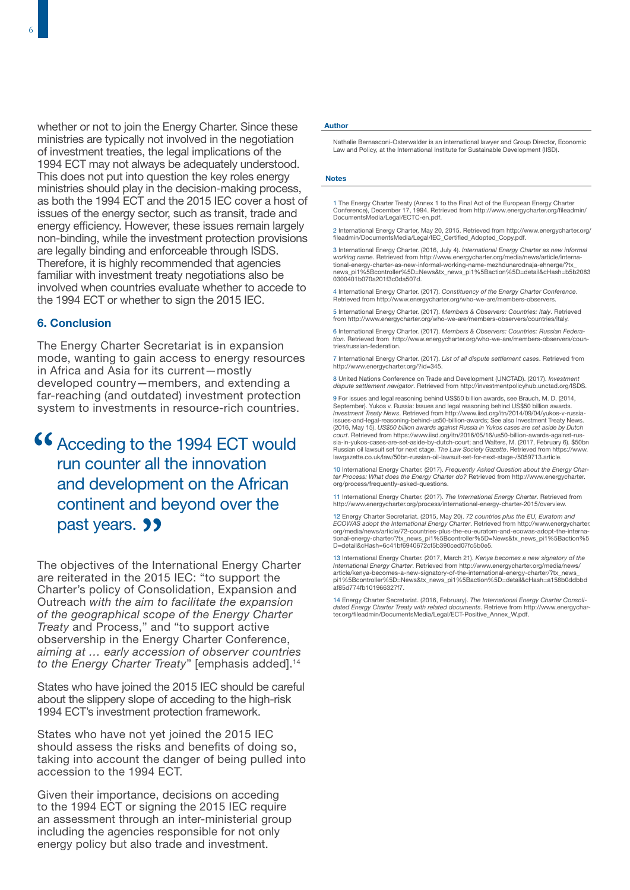whether or not to join the Energy Charter. Since these ministries are typically not involved in the negotiation of investment treaties, the legal implications of the 1994 ECT may not always be adequately understood. This does not put into question the key roles energy ministries should play in the decision-making process, as both the 1994 ECT and the 2015 IEC cover a host of issues of the energy sector, such as transit, trade and energy efficiency. However, these issues remain largely non-binding, while the investment protection provisions are legally binding and enforceable through ISDS. Therefore, it is highly recommended that agencies familiar with investment treaty negotiations also be involved when countries evaluate whether to accede to the 1994 ECT or whether to sign the 2015 IEC.

### 6. Conclusion

The Energy Charter Secretariat is in expansion mode, wanting to gain access to energy resources in Africa and Asia for its current—mostly developed country—members, and extending a far-reaching (and outdated) investment protection system to investments in resource-rich countries.

# **46 Acceding to the 1994 ECT would<br>run counter all the innovation** run counter all the innovation and development on the African continent and beyond over the past years. **99**

The objectives of the International Energy Charter are reiterated in the 2015 IEC: "to support the Charter's policy of Consolidation, Expansion and Outreach *with the aim to facilitate the expansion of the geographical scope of the Energy Charter Treaty* and Process," and "to support active observership in the Energy Charter Conference, *aiming at … early accession of observer countries to the Energy Charter Treaty*" [emphasis added].<sup>14</sup>

States who have joined the 2015 IEC should be careful about the slippery slope of acceding to the high-risk 1994 ECT's investment protection framework.

States who have not yet joined the 2015 IEC should assess the risks and benefits of doing so, taking into account the danger of being pulled into accession to the 1994 ECT.

Given their importance, decisions on acceding to the 1994 ECT or signing the 2015 IEC require an assessment through an inter-ministerial group including the agencies responsible for not only energy policy but also trade and investment.

### Author

Nathalie Bernasconi-Osterwalder is an international lawyer and Group Director, Economic Law and Policy, at the International Institute for Sustainable Development (IISD).

### Notes

1 The Energy Charter Treaty (Annex 1 to the Final Act of the European Energy Charter Conference), December 17, 1994. Retrieved from [http://www.energycharter.org/fileadmin/](http://www.energycharter.org/fileadmin/DocumentsMedia/Legal/ECTC-en.pdf) [DocumentsMedia/Legal/ECTC-en.pdf.](http://www.energycharter.org/fileadmin/DocumentsMedia/Legal/ECTC-en.pdf)

2 International Energy Charter, May 20, 2015. Retrieved from [http://www.energycharter.org/](http://www.energycharter.org/fileadmin/DocumentsMedia/Legal/IEC_Certified_Adopted_Copy.pdf) [fileadmin/DocumentsMedia/Legal/IEC\\_Certified\\_Adopted\\_Copy.pdf.](http://www.energycharter.org/fileadmin/DocumentsMedia/Legal/IEC_Certified_Adopted_Copy.pdf) 

3 International Energy Charter. (2016, July 4). *International Energy Charter as new informal*<br>*working name.* Retrieved from http://www.energycharter.org/media/news/article/interna-<br>tional-energy-charter-as-new-informal-w [news\\_pi1%5Bcontroller%5D=News&tx\\_news\\_pi1%5Baction%5D=detail&cHash=b5b2083](http://www.energycharter.org/media/news/article/international-energy-charter-as-new-informal-working-name-mezhdunarodnaja-ehnerge/?tx_news_pi1%5Bcontroller%5D=News&tx_news_pi1%5Baction%5D=detail&cHash=b5b20830300401b070a201f3c0da507d) [0300401b070a201f3c0da507d](http://www.energycharter.org/media/news/article/international-energy-charter-as-new-informal-working-name-mezhdunarodnaja-ehnerge/?tx_news_pi1%5Bcontroller%5D=News&tx_news_pi1%5Baction%5D=detail&cHash=b5b20830300401b070a201f3c0da507d).

4 International Energy Charter. (2017). *Constituency of the Energy Charter Conference*. Retrieved fro[m http://www.energycharter.org/who-we-are/members-observers.](http://www.energycharter.org/who-we-are/members-observers)

5 International Energy Charter. (2017). *Members & Observers: Countries: Italy*. Retrieved fro[m http://www.energycharter.org/who-we-are/members-observers/countries/italy.](http://www.energycharter.org/who-we-are/members-observers/countries/italy)

6 International Energy Charter. (2017). *Members & Observers: Countries: Russian Federation*. Retrieved from [http://www.energycharter.org/who-we-are/members-observers/coun](http://www.energycharter.org/who-we-are/members-observers/countries/russian-federation)[tries/russian-federation.](http://www.energycharter.org/who-we-are/members-observers/countries/russian-federation)

7 International Energy Charter. (2017). *List of all dispute settlement cases*. Retrieved from [http://www.energycharter.org/?id=345.](http://www.energycharter.org/?id=345) 

8 United Nations Conference on Trade and Development (UNCTAD). (2017). *Investment dispute settlement navigator*. Retrieved from<http://investmentpolicyhub.unctad.org/ISDS>.

9 For issues and legal reasoning behind US\$50 billion awards, see Brauch, M. D. (2014, September). Yukos v. Russia: Issues and legal reasoning behind US\$50 billion awards. *Investment Treaty News*. Retrieved from [http://www.iisd.org/itn/2014/09/04/yukos-v-russia](http://www.iisd.org/itn/2014/09/04/yukos-v-russia-issues-and-legal-reasoning-behind-us50-billion-awards/)[issues-and-legal-reasoning-behind-us50-billion-awards](http://www.iisd.org/itn/2014/09/04/yukos-v-russia-issues-and-legal-reasoning-behind-us50-billion-awards/); See also Investment Treaty News. (2016, May 15). *US\$50 billion awards against Russia in Yukos cases are set aside by Dutch court*. Retrieved from [https://www.iisd.org/itn/2016/05/16/us50-billion-awards-against-rus-](https://www.iisd.org/itn/2016/05/16/us50-billion-awards-against-russia-in-yukos-cases-are-set-aside-by-dutch-court/)[sia-in-yukos-cases-are-set-aside-by-dutch-court;](https://www.iisd.org/itn/2016/05/16/us50-billion-awards-against-russia-in-yukos-cases-are-set-aside-by-dutch-court/) and Walters, M. (2017, February 6). \$50bn Russian oil lawsuit set for next stage. *The Law Society Gazette*. Retrieved from [https://www.](https://www.lawgazette.co.uk/law/50bn-russian-oil-lawsuit-set-for-next-stage-/5059713.article) [lawgazette.co.uk/law/50bn-russian-oil-lawsuit-set-for-next-stage-/5059713.article](https://www.lawgazette.co.uk/law/50bn-russian-oil-lawsuit-set-for-next-stage-/5059713.article).

10 International Energy Charter. (2017). *Frequently Asked Question about the Energy Charter Process: What does the Energy Charter do?* Retrieved from [http://www.energycharter.](http://www.energycharter.org/process/frequently-asked-questions) [org/process/frequently-asked-questions.](http://www.energycharter.org/process/frequently-asked-questions)

11 International Energy Charter. (2017). *The International Energy Charter*. Retrieved from [http://www.energycharter.org/process/international-energy-charter-2015/overview.](http://www.energycharter.org/process/international-energy-charter-2015/overview)

12 Energy Charter Secretariat. (2015, May 20). *72 countries plus the EU, Euratom and ECOWAS adopt the International Energy Charter*. Retrieved from [http://www.energycharter.](http://www.energycharter.org/media/news/article/72-countries-plus-the-eu-euratom-and-ecowas-adopt-the-international-energy-charter/?tx_news_pi1%5Bcontroller%5D=News&tx_news_pi1%5Baction%5D=detail&cHash=6c41bf6940672cf5b390ced07fc5b0e5) [org/media/news/article/72-countries-plus-the-eu-euratom-and-ecowas-adopt-the-interna](http://www.energycharter.org/media/news/article/72-countries-plus-the-eu-euratom-and-ecowas-adopt-the-international-energy-charter/?tx_news_pi1%5Bcontroller%5D=News&tx_news_pi1%5Baction%5D=detail&cHash=6c41bf6940672cf5b390ced07fc5b0e5)[tional-energy-charter/?tx\\_news\\_pi1%5Bcontroller%5D=News&tx\\_news\\_pi1%5Baction%5](http://www.energycharter.org/media/news/article/72-countries-plus-the-eu-euratom-and-ecowas-adopt-the-international-energy-charter/?tx_news_pi1%5Bcontroller%5D=News&tx_news_pi1%5Baction%5D=detail&cHash=6c41bf6940672cf5b390ced07fc5b0e5) [D=detail&cHash=6c41bf6940672cf5b390ced07fc5b0e5.](http://www.energycharter.org/media/news/article/72-countries-plus-the-eu-euratom-and-ecowas-adopt-the-international-energy-charter/?tx_news_pi1%5Bcontroller%5D=News&tx_news_pi1%5Baction%5D=detail&cHash=6c41bf6940672cf5b390ced07fc5b0e5) 

13 International Energy Charter. (2017, March 21). *Kenya becomes a new signatory of the International Energy Charter*. Retrieved from [http://www.energycharter.org/media/news/](http://www.energycharter.org/media/news/article/kenya-becomes-a-new-signatory-of-the-international-energy-charter/?tx_news_pi1%5Bcontroller%5D=News&tx_news_pi1%5Baction%5D=detail&cHash=a158b0ddbbdaf85d774fb101966327f7) [article/kenya-becomes-a-new-signatory-of-the-international-energy-charter/?tx\\_news\\_](http://www.energycharter.org/media/news/article/kenya-becomes-a-new-signatory-of-the-international-energy-charter/?tx_news_pi1%5Bcontroller%5D=News&tx_news_pi1%5Baction%5D=detail&cHash=a158b0ddbbdaf85d774fb101966327f7) [pi1%5Bcontroller%5D=News&tx\\_news\\_pi1%5Baction%5D=detail&cHash=a158b0ddbbd](http://www.energycharter.org/media/news/article/kenya-becomes-a-new-signatory-of-the-international-energy-charter/?tx_news_pi1%5Bcontroller%5D=News&tx_news_pi1%5Baction%5D=detail&cHash=a158b0ddbbdaf85d774fb101966327f7) [af85d774fb101966327f7.](http://www.energycharter.org/media/news/article/kenya-becomes-a-new-signatory-of-the-international-energy-charter/?tx_news_pi1%5Bcontroller%5D=News&tx_news_pi1%5Baction%5D=detail&cHash=a158b0ddbbdaf85d774fb101966327f7) 

14 Energy Charter Secretariat. (2016, February). *The International Energy Charter Consolidated Energy Charter Treaty with related documents*. Retrieve from [http://www.energychar-](http://www.energycharter.org/fileadmin/DocumentsMedia/Legal/ECT-Positive_Annex_W.pdf)[ter.org/fileadmin/DocumentsMedia/Legal/ECT-Positive\\_Annex\\_W.pdf.](http://www.energycharter.org/fileadmin/DocumentsMedia/Legal/ECT-Positive_Annex_W.pdf)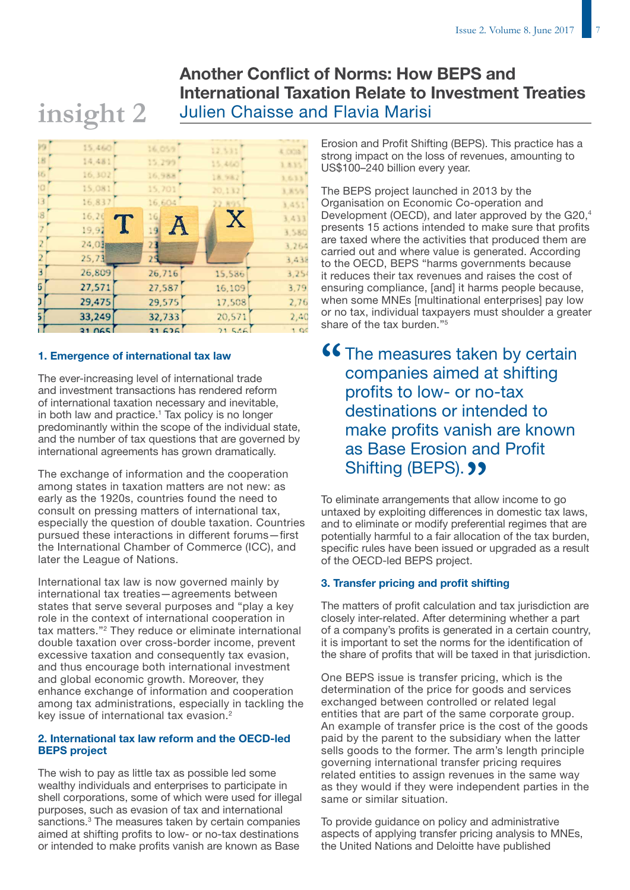# Another Conflict of Norms: How BEPS and International Taxation Relate to Investment Treaties Julien Chaisse and Flavia Marisi



### 1. Emergence of international tax law

**insight 2**

The ever-increasing level of international trade and investment transactions has rendered reform of international taxation necessary and inevitable, in both law and practice.<sup>1</sup> Tax policy is no longer predominantly within the scope of the individual state, and the number of tax questions that are governed by international agreements has grown dramatically.

The exchange of information and the cooperation among states in taxation matters are not new: as early as the 1920s, countries found the need to consult on pressing matters of international tax, especially the question of double taxation. Countries pursued these interactions in different forums—first the International Chamber of Commerce (ICC), and later the League of Nations.

International tax law is now governed mainly by international tax treaties—agreements between states that serve several purposes and "play a key role in the context of international cooperation in tax matters."2 They reduce or eliminate international double taxation over cross-border income, prevent excessive taxation and consequently tax evasion, and thus encourage both international investment and global economic growth. Moreover, they enhance exchange of information and cooperation among tax administrations, especially in tackling the key issue of international tax evasion.2

### 2. International tax law reform and the OECD-led BEPS project

The wish to pay as little tax as possible led some wealthy individuals and enterprises to participate in shell corporations, some of which were used for illegal purposes, such as evasion of tax and international sanctions.<sup>3</sup> The measures taken by certain companies aimed at shifting profits to low- or no-tax destinations or intended to make profits vanish are known as Base

Erosion and Profit Shifting (BEPS). This practice has a strong impact on the loss of revenues, amounting to US\$100–240 billion every year.

The BEPS project launched in 2013 by the Organisation on Economic Co-operation and Development (OECD), and later approved by the G20.<sup>4</sup> presents 15 actions intended to make sure that profits are taxed where the activities that produced them are carried out and where value is generated. According to the OECD, BEPS "harms governments because it reduces their tax revenues and raises the cost of ensuring compliance, [and] it harms people because, when some MNEs [multinational enterprises] pay low or no tax, individual taxpayers must shoulder a greater share of the tax burden."<sup>5</sup>

**"CALC The measures taken by certain companies aimed at shifting** companies aimed at shifting profits to low- or no-tax destinations or intended to make profits vanish are known as Base Erosion and Profit **Shifting (BEPS).** <sup>1</sup>

To eliminate arrangements that allow income to go untaxed by exploiting differences in domestic tax laws, and to eliminate or modify preferential regimes that are potentially harmful to a fair allocation of the tax burden, specific rules have been issued or upgraded as a result of the OECD-led BEPS project.

### 3. Transfer pricing and profit shifting

The matters of profit calculation and tax jurisdiction are closely inter-related. After determining whether a part of a company's profits is generated in a certain country, it is important to set the norms for the identification of the share of profits that will be taxed in that jurisdiction.

One BEPS issue is transfer pricing, which is the determination of the price for goods and services exchanged between controlled or related legal entities that are part of the same corporate group. An example of transfer price is the cost of the goods paid by the parent to the subsidiary when the latter sells goods to the former. The arm's length principle governing international transfer pricing requires related entities to assign revenues in the same way as they would if they were independent parties in the same or similar situation.

To provide guidance on policy and administrative aspects of applying transfer pricing analysis to MNEs, the United Nations and Deloitte have published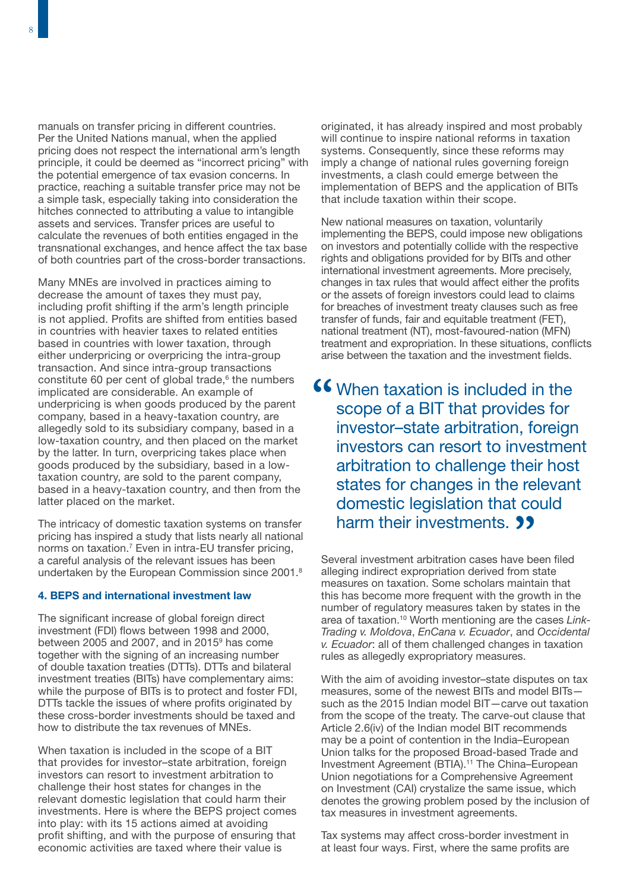manuals on transfer pricing in different countries. Per the United Nations manual, when the applied pricing does not respect the international arm's length principle, it could be deemed as "incorrect pricing" with the potential emergence of tax evasion concerns. In practice, reaching a suitable transfer price may not be a simple task, especially taking into consideration the hitches connected to attributing a value to intangible assets and services. Transfer prices are useful to calculate the revenues of both entities engaged in the transnational exchanges, and hence affect the tax base of both countries part of the cross-border transactions.

Many MNEs are involved in practices aiming to decrease the amount of taxes they must pay, including profit shifting if the arm's length principle is not applied. Profits are shifted from entities based in countries with heavier taxes to related entities based in countries with lower taxation, through either underpricing or overpricing the intra-group transaction. And since intra-group transactions constitute 60 per cent of global trade, $6$  the numbers implicated are considerable. An example of underpricing is when goods produced by the parent company, based in a heavy-taxation country, are allegedly sold to its subsidiary company, based in a low-taxation country, and then placed on the market by the latter. In turn, overpricing takes place when goods produced by the subsidiary, based in a lowtaxation country, are sold to the parent company, based in a heavy-taxation country, and then from the latter placed on the market.

The intricacy of domestic taxation systems on transfer pricing has inspired a study that lists nearly all national norms on taxation.<sup>7</sup> Even in intra-EU transfer pricing, a careful analysis of the relevant issues has been undertaken by the European Commission since 2001.<sup>8</sup>

### 4. BEPS and international investment law

The significant increase of global foreign direct investment (FDI) flows between 1998 and 2000, between 2005 and 2007, and in 2015<sup>9</sup> has come together with the signing of an increasing number of double taxation treaties (DTTs). DTTs and bilateral investment treaties (BITs) have complementary aims: while the purpose of BITs is to protect and foster FDI. DTTs tackle the issues of where profits originated by these cross-border investments should be taxed and how to distribute the tax revenues of MNEs.

When taxation is included in the scope of a BIT that provides for investor–state arbitration, foreign investors can resort to investment arbitration to challenge their host states for changes in the relevant domestic legislation that could harm their investments. Here is where the BEPS project comes into play: with its 15 actions aimed at avoiding profit shifting, and with the purpose of ensuring that economic activities are taxed where their value is

originated, it has already inspired and most probably will continue to inspire national reforms in taxation systems. Consequently, since these reforms may imply a change of national rules governing foreign investments, a clash could emerge between the implementation of BEPS and the application of BITs that include taxation within their scope.

New national measures on taxation, voluntarily implementing the BEPS, could impose new obligations on investors and potentially collide with the respective rights and obligations provided for by BITs and other international investment agreements. More precisely, changes in tax rules that would affect either the profits or the assets of foreign investors could lead to claims for breaches of investment treaty clauses such as free transfer of funds, fair and equitable treatment (FET), national treatment (NT), most-favoured-nation (MFN) treatment and expropriation. In these situations, conflicts arise between the taxation and the investment fields.

**66** When taxation is included in the scope of a BIT that provides for scope of a BIT that provides for investor–state arbitration, foreign investors can resort to investment arbitration to challenge their host states for changes in the relevant domestic legislation that could harm their investments. **99** 

Several investment arbitration cases have been filed alleging indirect expropriation derived from state measures on taxation. Some scholars maintain that this has become more frequent with the growth in the number of regulatory measures taken by states in the area of taxation.10 Worth mentioning are the cases *Link-Trading v. Moldova*, *EnCana v. Ecuador*, and *Occidental v. Ecuador*: all of them challenged changes in taxation rules as allegedly expropriatory measures.

With the aim of avoiding investor–state disputes on tax measures, some of the newest BITs and model BITs such as the 2015 Indian model BIT—carve out taxation from the scope of the treaty. The carve-out clause that Article 2.6(iv) of the Indian model BIT recommends may be a point of contention in the India–European Union talks for the proposed Broad-based Trade and Investment Agreement (BTIA).11 The China–European Union negotiations for a Comprehensive Agreement on Investment (CAI) crystalize the same issue, which denotes the growing problem posed by the inclusion of tax measures in investment agreements.

Tax systems may affect cross-border investment in at least four ways. First, where the same profits are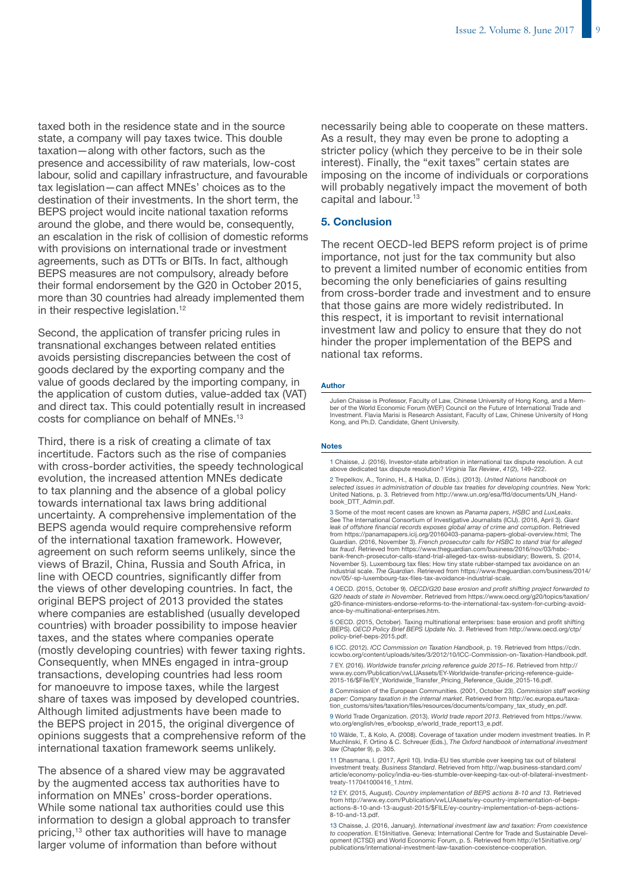taxed both in the residence state and in the source state, a company will pay taxes twice. This double taxation—along with other factors, such as the presence and accessibility of raw materials, low-cost labour, solid and capillary infrastructure, and favourable tax legislation—can affect MNEs' choices as to the destination of their investments. In the short term, the BEPS project would incite national taxation reforms around the globe, and there would be, consequently, an escalation in the risk of collision of domestic reforms with provisions on international trade or investment agreements, such as DTTs or BITs. In fact, although BEPS measures are not compulsory, already before their formal endorsement by the G20 in October 2015, more than 30 countries had already implemented them in their respective legislation.<sup>12</sup>

Second, the application of transfer pricing rules in transnational exchanges between related entities avoids persisting discrepancies between the cost of goods declared by the exporting company and the value of goods declared by the importing company, in the application of custom duties, value-added tax (VAT) and direct tax. This could potentially result in increased costs for compliance on behalf of MNEs.<sup>13</sup>

Third, there is a risk of creating a climate of tax incertitude. Factors such as the rise of companies with cross-border activities, the speedy technological evolution, the increased attention MNEs dedicate to tax planning and the absence of a global policy towards international tax laws bring additional uncertainty. A comprehensive implementation of the BEPS agenda would require comprehensive reform of the international taxation framework. However, agreement on such reform seems unlikely, since the views of Brazil, China, Russia and South Africa, in line with OECD countries, significantly differ from the views of other developing countries. In fact, the original BEPS project of 2013 provided the states where companies are established (usually developed countries) with broader possibility to impose heavier taxes, and the states where companies operate (mostly developing countries) with fewer taxing rights. Consequently, when MNEs engaged in intra-group transactions, developing countries had less room for manoeuvre to impose taxes, while the largest share of taxes was imposed by developed countries. Although limited adjustments have been made to the BEPS project in 2015, the original divergence of opinions suggests that a comprehensive reform of the international taxation framework seems unlikely.

The absence of a shared view may be aggravated by the augmented access tax authorities have to information on MNEs' cross-border operations. While some national tax authorities could use this information to design a global approach to transfer pricing,13 other tax authorities will have to manage larger volume of information than before without

necessarily being able to cooperate on these matters. As a result, they may even be prone to adopting a stricter policy (which they perceive to be in their sole interest). Finally, the "exit taxes" certain states are imposing on the income of individuals or corporations will probably negatively impact the movement of both capital and labour.<sup>13</sup>

### 5. Conclusion

The recent OECD-led BEPS reform project is of prime importance, not just for the tax community but also to prevent a limited number of economic entities from becoming the only beneficiaries of gains resulting from cross-border trade and investment and to ensure that those gains are more widely redistributed. In this respect, it is important to revisit international investment law and policy to ensure that they do not hinder the proper implementation of the BEPS and national tax reforms.

### Author

Julien Chaisse is Professor, Faculty of Law, Chinese University of Hong Kong, and a Member of the World Economic Forum (WEF) [Council on the Future of International Trade and](https://www.weforum.org/communities/the-future-of-international-trade-and-investment)  [Investment](https://www.weforum.org/communities/the-future-of-international-trade-and-investment). Flavia Marisi is Research Assistant, Faculty of Law, Chinese University of Hong Kong, and Ph.D. Candidate, Ghent University.

### Notes

1 Chaisse, J. (2016). Investor-state arbitration in international tax dispute resolution. A cut above dedicated tax dispute resolution? *Virginia Tax Review*, *41*(2), 149–222.

2 Trepelkov, A., Tonino, H., & Halka, D. (Eds.). (2013). *United Nations handbook on selected issues in administration of double tax treaties for developing countries*. New York: United Nations, p. 3. Retrieved from [http://www.un.org/esa/ffd/documents/UN\\_Hand](http://www.un.org/esa/ffd/documents/UN_Handbook_DTT_Admin.pdf)[book\\_DTT\\_Admin.pdf.](http://www.un.org/esa/ffd/documents/UN_Handbook_DTT_Admin.pdf)

3 Some of the most recent cases are known as *Panama papers*, *HSBC* and *LuxLeaks*. See The International Consortium of Investigative Journalists (ICIJ). (2016, April 3). *Giant leak of offshore financial records exposes global array of crime and corruption*. Retrieved from [https://panamapapers.icij.org/20160403-panama-papers-global-overview.html;](https://panamapapers.icij.org/20160403-panama-papers-global-overview.html) The Guardian. (2016, November 3). *French prosecutor calls for HSBC to stand trial for alleged tax fraud*. Retrieved from [https://www.theguardian.com/business/2016/nov/03/hsbc](https://www.theguardian.com/business/2016/nov/03/hsbc-bank-french-prosecutor-calls-stand-trial-alleged-tax-swiss-subsidiary)[bank-french-prosecutor-calls-stand-trial-alleged-tax-swiss-subsidiary](https://www.theguardian.com/business/2016/nov/03/hsbc-bank-french-prosecutor-calls-stand-trial-alleged-tax-swiss-subsidiary); Bowers, S. (2014, November 5). Luxembourg tax files: How tiny state rubber-stamped tax avoidance on an industrial scale. *The Guardian*. Retrieved from [https://www.theguardian.com/business/2014/](https://www.theguardian.com/business/2014/nov/05/-sp-luxembourg-tax-files-tax-avoidance-industrial-scale) [nov/05/-sp-luxembourg-tax-files-tax-avoidance-industrial-scale.](https://www.theguardian.com/business/2014/nov/05/-sp-luxembourg-tax-files-tax-avoidance-industrial-scale)

4 OECD. (2015, October 9). *OECD/G20 base erosion and profit shifting project forwarded to G20 heads of state in November*. Retrieved from [https://www.oecd.org/g20/topics/taxation/](https://www.oecd.org/g20/topics/taxation/g20-finance-ministers-endorse-reforms-to-the-international-tax-system-for-curbing-avoidance-by-multinational-enterprises.htm) [g20-finance-ministers-endorse-reforms-to-the-international-tax-system-for-curbing-avoid](https://www.oecd.org/g20/topics/taxation/g20-finance-ministers-endorse-reforms-to-the-international-tax-system-for-curbing-avoidance-by-multinational-enterprises.htm)[ance-by-multinational-enterprises.htm.](https://www.oecd.org/g20/topics/taxation/g20-finance-ministers-endorse-reforms-to-the-international-tax-system-for-curbing-avoidance-by-multinational-enterprises.htm) 

5 OECD. (2015, October). Taxing multinational enterprises: base erosion and profit shifting (BEPS). *OECD Policy Brief BEPS Update No. 3*. Retrieved from [http://www.oecd.org/ctp/](http://www.oecd.org/ctp/policy-brief-beps-2015.pdf) [policy-brief-beps-2015.pdf.](http://www.oecd.org/ctp/policy-brief-beps-2015.pdf) 

6 ICC. (2012). *ICC Commission on Taxation Handbook*, p. 19. Retrieved from [https://cdn.](https://cdn.iccwbo.org/content/uploads/sites/3/2012/10/ICC-Commission-on-Taxation-Handbook.pdf) [iccwbo.org/content/uploads/sites/3/2012/10/ICC-Commission-on-Taxation-Handbook.pdf.](https://cdn.iccwbo.org/content/uploads/sites/3/2012/10/ICC-Commission-on-Taxation-Handbook.pdf)

7 EY. (2016). *Worldwide transfer pricing reference guide 2015–16*. Retrieved from [http://](http://www.ey.com/Publication/vwLUAssets/EY-Worldwide-transfer-pricing-reference-guide-2015-16/$File/EY_Worldwide_Transfer_Pricing_Reference_Guide_2015-16.pdf) [www.ey.com/Publication/vwLUAssets/EY-Worldwide-transfer-pricing-reference-guide-](http://www.ey.com/Publication/vwLUAssets/EY-Worldwide-transfer-pricing-reference-guide-2015-16/$File/EY_Worldwide_Transfer_Pricing_Reference_Guide_2015-16.pdf)[2015-16/\\$File/EY\\_Worldwide\\_Transfer\\_Pricing\\_Reference\\_Guide\\_2015-16.pdf.](http://www.ey.com/Publication/vwLUAssets/EY-Worldwide-transfer-pricing-reference-guide-2015-16/$File/EY_Worldwide_Transfer_Pricing_Reference_Guide_2015-16.pdf)

8 Commission of the European Communities. (2001, October 23). *Commission staff working paper: Company taxation in the internal market*. Retrieved from [http://ec.europa.eu/taxa](http://ec.europa.eu/taxation_customs/sites/taxation/files/resources/documents/company_tax_study_en.pdf)[tion\\_customs/sites/taxation/files/resources/documents/company\\_tax\\_study\\_en.pdf.](http://ec.europa.eu/taxation_customs/sites/taxation/files/resources/documents/company_tax_study_en.pdf) 

9 World Trade Organization. (2013). *World trade report 2013*. Retrieved fro[m https://www.](https://www.wto.org/english/res_e/booksp_e/world_trade_report13_e.pdf) [wto.org/english/res\\_e/booksp\\_e/world\\_trade\\_report13\\_e.pdf.](https://www.wto.org/english/res_e/booksp_e/world_trade_report13_e.pdf)

10 Wälde, T., & Kolo, A. (2008). Coverage of taxation under modern investment treaties. In P. Muchlinski, F. Ortino & C. Schreuer (Eds.), *The Oxford handbook of international investment law* (Chapter 9), p. 305.

11 Dhasmana, I. (2017, April 10). India-EU ties stumble over keeping tax out of bilateral investment treaty. *Business Standard*. Retrieved from [http://wap.business-standard.com/](http://www.business-standard.com/article/economy-policy/india-eu-ties-stumble-over-keeping-tax-out-of-bilateral-investment-treaty-117041000416_1.html) [article/economy-policy/india-eu-ties-stumble-over-keeping-tax-out-of-bilateral-investment](http://www.business-standard.com/article/economy-policy/india-eu-ties-stumble-over-keeping-tax-out-of-bilateral-investment-treaty-117041000416_1.html)[treaty-117041000416\\_1.html.](http://www.business-standard.com/article/economy-policy/india-eu-ties-stumble-over-keeping-tax-out-of-bilateral-investment-treaty-117041000416_1.html)

12 EY. (2015, August). *Country implementation of BEPS actions 8-10 and 13.* Retrieved<br>from http://www.ey.com/Publication/wvLUAsset*s/ey*-country-implementation-of-beps-<br>actions-8-10-and-13-august-2015/\$FILE/ey-country-im [8-10-and-13.pdf.](http://www.ey.com/Publication/vwLUAssets/ey-country-implementation-of-beps-actions-8-10-and-13-august-2015/$FILE/ey-country-implementation-of-beps-actions-8-10-and-13.pdf)

13 Chaisse, J. (2016, January). *International investment law and taxation: From coexistence to cooperation*. E15Initiative. Geneva: International Centre for Trade and Sustainable Devel-opment (ICTSD) and World Economic Forum, p. 5. Retrieved from [http://e15initiative.org/](http://e15initiative.org/publications/international-investment-law-taxation-coexistence-cooperation) [publications/international-investment-law-taxation-coexistence-cooperation.](http://e15initiative.org/publications/international-investment-law-taxation-coexistence-cooperation)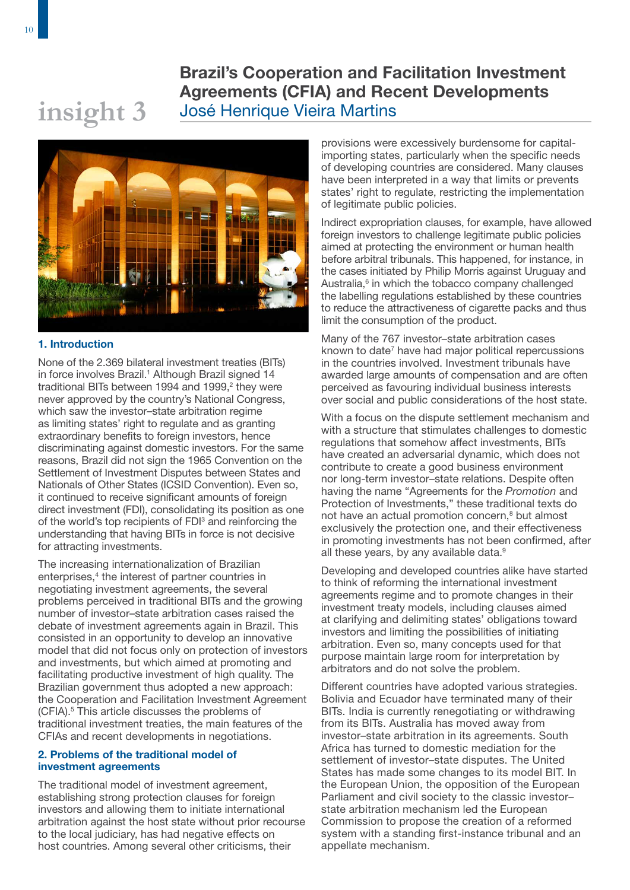# Brazil's Cooperation and Facilitation Investment Agreements (CFIA) and Recent Developments José Henrique Vieira Martins

# **insight 3**

### 1. Introduction

None of the 2.369 bilateral investment treaties (BITs) in force involves Brazil.<sup>1</sup> Although Brazil signed 14 traditional BITs between 1994 and 1999,<sup>2</sup> they were never approved by the country's National Congress, which saw the investor–state arbitration regime as limiting states' right to regulate and as granting extraordinary benefits to foreign investors, hence discriminating against domestic investors. For the same reasons, Brazil did not sign the 1965 Convention on the Settlement of Investment Disputes between States and Nationals of Other States (ICSID Convention). Even so, it continued to receive significant amounts of foreign direct investment (FDI), consolidating its position as one of the world's top recipients of FDI<sup>3</sup> and reinforcing the understanding that having BITs in force is not decisive for attracting investments.

The increasing internationalization of Brazilian enterprises,<sup>4</sup> the interest of partner countries in negotiating investment agreements, the several problems perceived in traditional BITs and the growing number of investor–state arbitration cases raised the debate of investment agreements again in Brazil. This consisted in an opportunity to develop an innovative model that did not focus only on protection of investors and investments, but which aimed at promoting and facilitating productive investment of high quality. The Brazilian government thus adopted a new approach: the Cooperation and Facilitation Investment Agreement (CFIA).<sup>5</sup> This article discusses the problems of traditional investment treaties, the main features of the CFIAs and recent developments in negotiations.

### 2. Problems of the traditional model of investment agreements

The traditional model of investment agreement, establishing strong protection clauses for foreign investors and allowing them to initiate international arbitration against the host state without prior recourse to the local judiciary, has had negative effects on host countries. Among several other criticisms, their

provisions were excessively burdensome for capitalimporting states, particularly when the specific needs of developing countries are considered. Many clauses have been interpreted in a way that limits or prevents states' right to regulate, restricting the implementation of legitimate public policies.

Indirect expropriation clauses, for example, have allowed foreign investors to challenge legitimate public policies aimed at protecting the environment or human health before arbitral tribunals. This happened, for instance, in the cases initiated by Philip Morris against Uruguay and Australia,<sup>6</sup> in which the tobacco company challenged the labelling regulations established by these countries to reduce the attractiveness of cigarette packs and thus limit the consumption of the product.

Many of the 767 investor–state arbitration cases known to date<sup>7</sup> have had major political repercussions in the countries involved. Investment tribunals have awarded large amounts of compensation and are often perceived as favouring individual business interests over social and public considerations of the host state.

With a focus on the dispute settlement mechanism and with a structure that stimulates challenges to domestic regulations that somehow affect investments, BITs have created an adversarial dynamic, which does not contribute to create a good business environment nor long-term investor–state relations. Despite often having the name "Agreements for the *Promotion* and Protection of Investments," these traditional texts do not have an actual promotion concern,<sup>8</sup> but almost exclusively the protection one, and their effectiveness in promoting investments has not been confirmed, after all these years, by any available data.<sup>9</sup>

Developing and developed countries alike have started to think of reforming the international investment agreements regime and to promote changes in their investment treaty models, including clauses aimed at clarifying and delimiting states' obligations toward investors and limiting the possibilities of initiating arbitration. Even so, many concepts used for that purpose maintain large room for interpretation by arbitrators and do not solve the problem.

Different countries have adopted various strategies. Bolivia and Ecuador have terminated many of their BITs. India is currently renegotiating or withdrawing from its BITs. Australia has moved away from investor–state arbitration in its agreements. South Africa has turned to domestic mediation for the settlement of investor–state disputes. The United States has made some changes to its model BIT. In the European Union, the opposition of the European Parliament and civil society to the classic investor– state arbitration mechanism led the European Commission to propose the creation of a reformed system with a standing first-instance tribunal and an appellate mechanism.

10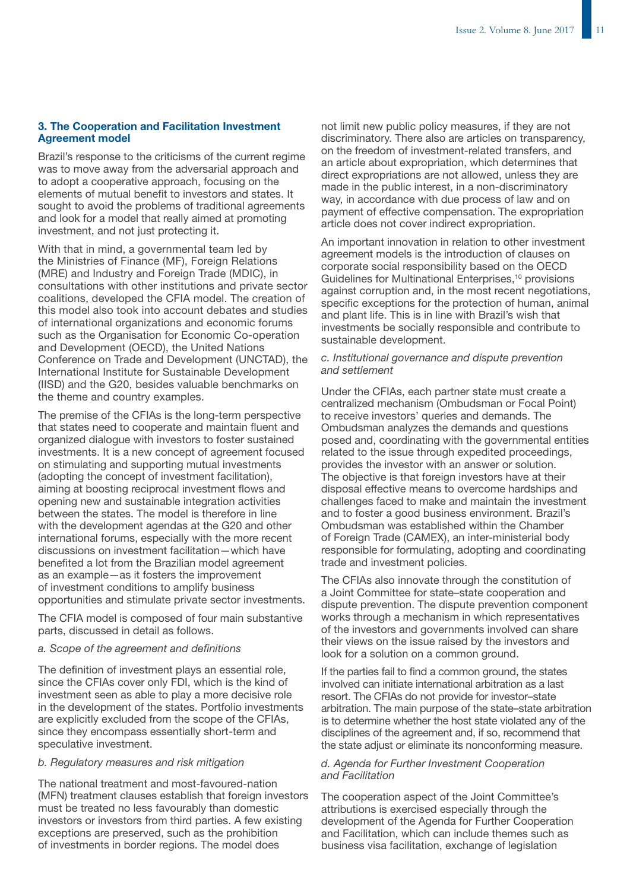### 3. The Cooperation and Facilitation Investment Agreement model

Brazil's response to the criticisms of the current regime was to move away from the adversarial approach and to adopt a cooperative approach, focusing on the elements of mutual benefit to investors and states. It sought to avoid the problems of traditional agreements and look for a model that really aimed at promoting investment, and not just protecting it.

With that in mind, a governmental team led by the Ministries of Finance (MF), Foreign Relations (MRE) and Industry and Foreign Trade (MDIC), in consultations with other institutions and private sector coalitions, developed the CFIA model. The creation of this model also took into account debates and studies of international organizations and economic forums such as the Organisation for Economic Co-operation and Development (OECD), the United Nations Conference on Trade and Development (UNCTAD), the International Institute for Sustainable Development (IISD) and the G20, besides valuable benchmarks on the theme and country examples.

The premise of the CFIAs is the long-term perspective that states need to cooperate and maintain fluent and organized dialogue with investors to foster sustained investments. It is a new concept of agreement focused on stimulating and supporting mutual investments (adopting the concept of investment facilitation), aiming at boosting reciprocal investment flows and opening new and sustainable integration activities between the states. The model is therefore in line with the development agendas at the G20 and other international forums, especially with the more recent discussions on investment facilitation—which have benefited a lot from the Brazilian model agreement as an example—as it fosters the improvement of investment conditions to amplify business opportunities and stimulate private sector investments.

The CFIA model is composed of four main substantive parts, discussed in detail as follows.

### *a. Scope of the agreement and definitions*

The definition of investment plays an essential role, since the CFIAs cover only FDI, which is the kind of investment seen as able to play a more decisive role in the development of the states. Portfolio investments are explicitly excluded from the scope of the CFIAs, since they encompass essentially short-term and speculative investment.

### *b. Regulatory measures and risk mitigation*

The national treatment and most-favoured-nation (MFN) treatment clauses establish that foreign investors must be treated no less favourably than domestic investors or investors from third parties. A few existing exceptions are preserved, such as the prohibition of investments in border regions. The model does

not limit new public policy measures, if they are not discriminatory. There also are articles on transparency, on the freedom of investment-related transfers, and an article about expropriation, which determines that direct expropriations are not allowed, unless they are made in the public interest, in a non-discriminatory way, in accordance with due process of law and on payment of effective compensation. The expropriation article does not cover indirect expropriation.

An important innovation in relation to other investment agreement models is the introduction of clauses on corporate social responsibility based on the OECD Guidelines for Multinational Enterprises,<sup>10</sup> provisions against corruption and, in the most recent negotiations, specific exceptions for the protection of human, animal and plant life. This is in line with Brazil's wish that investments be socially responsible and contribute to sustainable development.

### *c. Institutional governance and dispute prevention and settlement*

Under the CFIAs, each partner state must create a centralized mechanism (Ombudsman or Focal Point) to receive investors' queries and demands. The Ombudsman analyzes the demands and questions posed and, coordinating with the governmental entities related to the issue through expedited proceedings, provides the investor with an answer or solution. The objective is that foreign investors have at their disposal effective means to overcome hardships and challenges faced to make and maintain the investment and to foster a good business environment. Brazil's Ombudsman was established within the Chamber of Foreign Trade (CAMEX), an inter-ministerial body responsible for formulating, adopting and coordinating trade and investment policies.

The CFIAs also innovate through the constitution of a Joint Committee for state–state cooperation and dispute prevention. The dispute prevention component works through a mechanism in which representatives of the investors and governments involved can share their views on the issue raised by the investors and look for a solution on a common ground.

If the parties fail to find a common ground, the states involved can initiate international arbitration as a last resort. The CFIAs do not provide for investor–state arbitration. The main purpose of the state–state arbitration is to determine whether the host state violated any of the disciplines of the agreement and, if so, recommend that the state adjust or eliminate its nonconforming measure.

### *d. Agenda for Further Investment Cooperation and Facilitation*

The cooperation aspect of the Joint Committee's attributions is exercised especially through the development of the Agenda for Further Cooperation and Facilitation, which can include themes such as business visa facilitation, exchange of legislation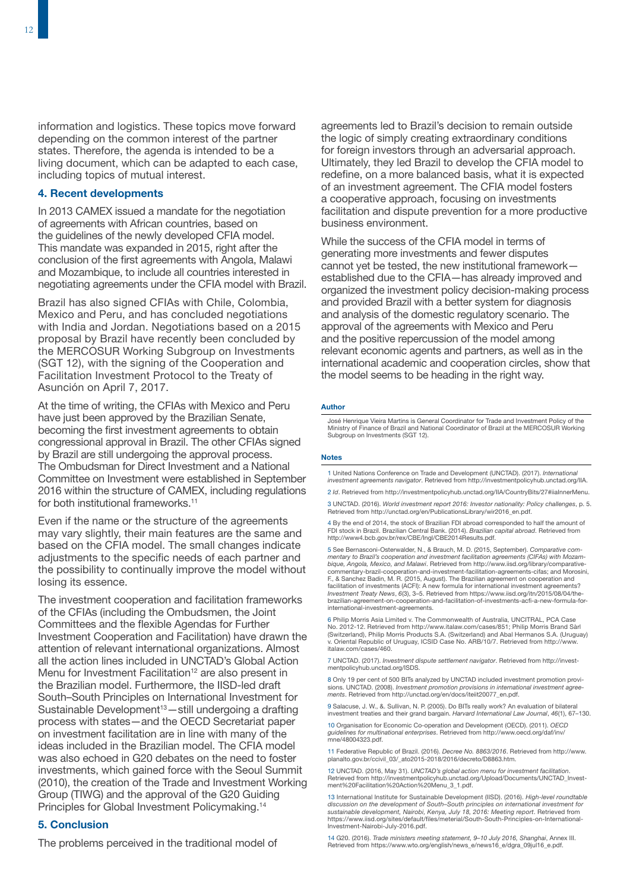information and logistics. These topics move forward depending on the common interest of the partner states. Therefore, the agenda is intended to be a living document, which can be adapted to each case, including topics of mutual interest.

### 4. Recent developments

In 2013 CAMEX issued a mandate for the negotiation of agreements with African countries, based on the guidelines of the newly developed CFIA model. This mandate was expanded in 2015, right after the conclusion of the first agreements with Angola, Malawi and Mozambique, to include all countries interested in negotiating agreements under the CFIA model with Brazil.

Brazil has also signed CFIAs with Chile, Colombia, Mexico and Peru, and has concluded negotiations with India and Jordan. Negotiations based on a 2015 proposal by Brazil have recently been concluded by the MERCOSUR Working Subgroup on Investments (SGT 12), with the signing of the Cooperation and Facilitation Investment Protocol to the Treaty of Asunción on April 7, 2017.

At the time of writing, the CFIAs with Mexico and Peru have just been approved by the Brazilian Senate, becoming the first investment agreements to obtain congressional approval in Brazil. The other CFIAs signed by Brazil are still undergoing the approval process. The Ombudsman for Direct Investment and a National Committee on Investment were established in September 2016 within the structure of CAMEX, including regulations for both institutional frameworks.<sup>11</sup>

Even if the name or the structure of the agreements may vary slightly, their main features are the same and based on the CFIA model. The small changes indicate adjustments to the specific needs of each partner and the possibility to continually improve the model without losing its essence.

The investment cooperation and facilitation frameworks of the CFIAs (including the Ombudsmen, the Joint Committees and the flexible Agendas for Further Investment Cooperation and Facilitation) have drawn the attention of relevant international organizations. Almost all the action lines included in UNCTAD's Global Action Menu for Investment Facilitation<sup>12</sup> are also present in the Brazilian model. Furthermore, the IISD-led draft South–South Principles on International Investment for Sustainable Development<sup>13</sup> - still undergoing a drafting process with states—and the OECD Secretariat paper on investment facilitation are in line with many of the ideas included in the Brazilian model. The CFIA model was also echoed in G20 debates on the need to foster investments, which gained force with the Seoul Summit (2010), the creation of the Trade and Investment Working Group (TIWG) and the approval of the G20 Guiding Principles for Global Investment Policymaking.14

### 5. Conclusion

The problems perceived in the traditional model of

agreements led to Brazil's decision to remain outside the logic of simply creating extraordinary conditions for foreign investors through an adversarial approach. Ultimately, they led Brazil to develop the CFIA model to redefine, on a more balanced basis, what it is expected of an investment agreement. The CFIA model fosters a cooperative approach, focusing on investments facilitation and dispute prevention for a more productive business environment.

While the success of the CFIA model in terms of generating more investments and fewer disputes cannot yet be tested, the new institutional framework established due to the CFIA—has already improved and organized the investment policy decision-making process and provided Brazil with a better system for diagnosis and analysis of the domestic regulatory scenario. The approval of the agreements with Mexico and Peru and the positive repercussion of the model among relevant economic agents and partners, as well as in the international academic and cooperation circles, show that the model seems to be heading in the right way.

### Author

José Henrique Vieira Martins is General Coordinator for Trade and Investment Policy of the Ministry of Finance of Brazil and National Coordinator of Brazil at the MERCOSUR Working Subgroup on Investments (SGT 12).

### **Notes**

1 United Nations Conference on Trade and Development (UNCTAD). (2017). *International investment agreements navigator*. Retrieved from <http://investmentpolicyhub.unctad.org/IIA>.

2 *Id*. Retrieved from http://investmentpolicyhub.unctad.org/IIA/CountryBits/27#iiaInnerMe

3 UNCTAD. (2016). *World investment report 2016: Investor nationality: Policy challenges*, p. 5. Retrieved from [http://unctad.org/en/PublicationsLibrary/wir2016\\_en.pdf.](http://unctad.org/en/PublicationsLibrary/wir2016_en.pdf)

4 By the end of 2014, the stock of Brazilian FDI abroad corresponded to half the amount of FDI stock in Brazil. Brazilian Central Bank. (2014). *Brazilian capital abroad*. Retrieved from [http://www4.bcb.gov.br/rex/CBE/Ingl/CBE2014Results.pdf.](http://www4.bcb.gov.br/rex/CBE/Ingl/CBE2014Results.pdf)

5 See Bernasconi-Osterwalder, N., & Brauch, M. D. (2015, September). *Comparative commentary to Brazil's cooperation and investment facilitation agreements (CIFAs) with Mozam-bique, Angola, Mexico, and Malawi*. Retrieved from [http://www.iisd.org/library/comparative](http://www.iisd.org/library/comparative-commentary-brazil-cooperation-and-investment-facilitation-agreements-cifas)[commentary-brazil-cooperation-and-investment-facilitation-agreements-cifas;](http://www.iisd.org/library/comparative-commentary-brazil-cooperation-and-investment-facilitation-agreements-cifas) and Morosini, F., & Sanchez Badin, M. R. (2015, August). The Brazilian agreement on cooperation and facilitation of investments (ACFI): A new formula for international investment agreements? *Investment Treaty News*, *6*(3), 3–5. Retrieved from [https://www.iisd.org/itn/2015/08/04/the](https://www.iisd.org/itn/2015/08/04/the-brazilian-agreement-on-cooperation-and-facilitation-of-investments-acfi-a-new-formula-for-international-investment-agreements)[brazilian-agreement-on-cooperation-and-facilitation-of-investments-acfi-a-new-formula-for-](https://www.iisd.org/itn/2015/08/04/the-brazilian-agreement-on-cooperation-and-facilitation-of-investments-acfi-a-new-formula-for-international-investment-agreements)[international-investment-agreements.](https://www.iisd.org/itn/2015/08/04/the-brazilian-agreement-on-cooperation-and-facilitation-of-investments-acfi-a-new-formula-for-international-investment-agreements)

6 Philip Morris Asia Limited v. The Commonwealth of Australia, UNCITRAL, PCA Case No. 2012-12. Retrieved from [http://www.italaw.com/cases/851;](https://www.italaw.com/cases/851) Philip Morris Brand Sàrl (Switzerland), Philip Morris Products S.A. (Switzerland) and Abal Hermanos S.A. (Uruguay) v. Oriental Republic of Uruguay, ICSID Case No. ARB/10/7. Retrieved from [http://www.](https://www.italaw.com/cases/460) [italaw.com/cases/460.](https://www.italaw.com/cases/460)

7 UNCTAD. (2017). *Investment dispute settlement navigator*. Retrieved from [http://invest](http://investmentpolicyhub.unctad.org/ISDS)[mentpolicyhub.unctad.org/ISDS.](http://investmentpolicyhub.unctad.org/ISDS)

8 Only 19 per cent of 500 BITs analyzed by UNCTAD included investment promotion provisions. UNCTAD. (2008). *Investment promotion provisions in international investment agree-ments*. Retrieved from [http://unctad.org/en/docs/iteiit20077\\_en.pdf.](http://unctad.org/en/docs/iteiit20077_en.pdf)

9 Salacuse, J. W., &. Sullivan, N. P. (2005). Do BITs really work? An evaluation of bilateral investment treaties and their grand bargain. *Harvard International Law Journal*, *46*(1), 67–130.

10 Organisation for Economic Co-operation and Development (OECD). (2011). *OECD guidelines for multinational enterprises*. Retrieved from [http://www.oecd.org/daf/inv/](http://www.oecd.org/daf/inv/mne/48004323.pdf) [mne/48004323.pdf.](http://www.oecd.org/daf/inv/mne/48004323.pdf)

11 Federative Republic of Brazil. (2016). *Decree No. 8863/2016*. Retrieved from [http://www.](http://www.planalto.gov.br/ccivil_03/_ato2015-2018/2016/decreto/D8863.htm) [planalto.gov.br/ccivil\\_03/\\_ato2015-2018/2016/decreto/D8863.htm.](http://www.planalto.gov.br/ccivil_03/_ato2015-2018/2016/decreto/D8863.htm)

12 UNCTAD. (2016, May 31). *UNCTAD's global action menu for investment facilitation*. Retrieved from [http://investmentpolicyhub.unctad.org/Upload/Documents/UNCTAD\\_Invest](http://investmentpolicyhub.unctad.org/Upload/Documents/UNCTAD_Investment%20Facilitation%20Action%20Menu_3_1.pdf)[ment%20Facilitation%20Action%20Menu\\_3\\_1.pdf.](http://investmentpolicyhub.unctad.org/Upload/Documents/UNCTAD_Investment%20Facilitation%20Action%20Menu_3_1.pdf)

13 International Institute for Sustainable Development (IISD). (2016). *High-level roundtable discussion on the development of South–South principles on international investment for sustainable development, Nairobi, Kenya, July 18, 2016: Meeting report*. Retrieved from [https://www.iisd.org/sites/default/files/meterial/South-South-Principles-on-International-](https://www.iisd.org/sites/default/files/meterial/South-South-Principles-on-International-Investment-Nairobi-July-2016.pdf)[Investment-Nairobi-July-2016.pdf.](https://www.iisd.org/sites/default/files/meterial/South-South-Principles-on-International-Investment-Nairobi-July-2016.pdf)

14 G20. (2016). *Trade ministers meeting statement, 9–10 July 2016, Shanghai*, Annex III. Retrieved from [https://www.wto.org/english/news\\_e/news16\\_e/dgra\\_09jul16\\_e.pdf.](https://www.wto.org/english/news_e/news16_e/dgra_09jul16_e.pdf)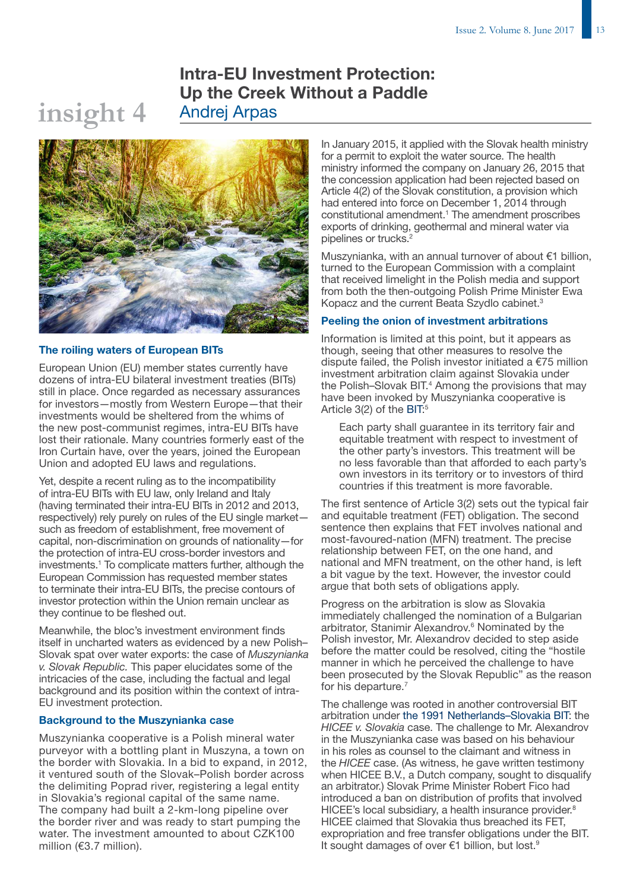# Intra-EU Investment Protection: Up the Creek Without a Paddle Andrej Arpas



### The roiling waters of European BITs

**insight 4**

European Union (EU) member states currently have dozens of intra-EU bilateral investment treaties (BITs) still in place. Once regarded as necessary assurances for investors—mostly from Western Europe—that their investments would be sheltered from the whims of the new post-communist regimes, intra-EU BITs have lost their rationale. Many countries formerly east of the Iron Curtain have, over the years, joined the European Union and adopted EU laws and regulations.

Yet, despite a recent ruling as to the incompatibility of intra-EU BITs with EU law, only Ireland and Italy (having terminated their intra-EU BITs in 2012 and 2013, respectively) rely purely on rules of the EU single market such as freedom of establishment, free movement of capital, non-discrimination on grounds of nationality—for the protection of intra-EU cross-border investors and investments.1 To complicate matters further, although the European Commission has requested member states to terminate their intra-EU BITs, the precise contours of investor protection within the Union remain unclear as they continue to be fleshed out.

Meanwhile, the bloc's investment environment finds itself in uncharted waters as evidenced by a new Polish– Slovak spat over water exports: the case of *Muszynianka v. Slovak Republic.* This paper elucidates some of the intricacies of the case, including the factual and legal background and its position within the context of intra-EU investment protection.

### Background to the Muszynianka case

Muszynianka cooperative is a Polish mineral water purveyor with a bottling plant in Muszyna, a town on the border with Slovakia. In a bid to expand, in 2012, it ventured south of the Slovak–Polish border across the delimiting Poprad river, registering a legal entity in Slovakia's regional capital of the same name. The company had built a 2-km-long pipeline over the border river and was ready to start pumping the water. The investment amounted to about CZK100 million (€3.7 million).

In January 2015, it applied with the Slovak health ministry for a permit to exploit the water source. The health ministry informed the company on January 26, 2015 that the concession application had been rejected based on Article 4(2) of the Slovak constitution, a provision which had entered into force on December 1, 2014 through constitutional amendment.<sup>1</sup> The amendment proscribes exports of drinking, geothermal and mineral water via pipelines or trucks.<sup>2</sup>

Muszynianka, with an annual turnover of about €1 billion, turned to the European Commission with a complaint that received limelight in the Polish media and support from both the then-outgoing Polish Prime Minister Ewa Kopacz and the current Beata Szydlo cabinet.3

### Peeling the onion of investment arbitrations

Information is limited at this point, but it appears as though, seeing that other measures to resolve the dispute failed, the Polish investor initiated a  $E$ 75 million investment arbitration claim against Slovakia under the Polish-Slovak BIT.<sup>4</sup> Among the provisions that may have been invoked by Muszynianka cooperative is Article 3(2) of the [BIT:](http://investmentpolicyhub.unctad.org/Download/TreatyFile/3022)<sup>5</sup>

Each party shall guarantee in its territory fair and equitable treatment with respect to investment of the other party's investors. This treatment will be no less favorable than that afforded to each party's own investors in its territory or to investors of third countries if this treatment is more favorable.

The first sentence of Article 3(2) sets out the typical fair and equitable treatment (FET) obligation. The second sentence then explains that FET involves national and most-favoured-nation (MFN) treatment. The precise relationship between FET, on the one hand, and national and MFN treatment, on the other hand, is left a bit vague by the text. However, the investor could argue that both sets of obligations apply.

Progress on the arbitration is slow as Slovakia immediately challenged the nomination of a Bulgarian arbitrator, Stanimir Alexandrov.<sup>6</sup> Nominated by the Polish investor, Mr. Alexandrov decided to step aside before the matter could be resolved, citing the "hostile manner in which he perceived the challenge to have been prosecuted by the Slovak Republic" as the reason for his departure.<sup>7</sup>

The challenge was rooted in another controversial BIT arbitration under [the 1991 Netherlands–Slovakia BIT](http://investmentpolicyhub.unctad.org/IIA/mostRecent/treaty/2650): the *HICEE v. Slovakia* case. The challenge to Mr. Alexandrov in the Muszynianka case was based on his behaviour in his roles as counsel to the claimant and witness in the *HICEE* case. (As witness, he gave written testimony when HICEE B.V., a Dutch company, sought to disqualify an arbitrator.) Slovak Prime Minister Robert Fico had introduced a ban on distribution of profits that involved HICEE's local subsidiary, a health insurance provider.<sup>8</sup> HICEE claimed that Slovakia thus breached its FET, expropriation and free transfer obligations under the BIT. It sought damages of over €1 billion, but lost.9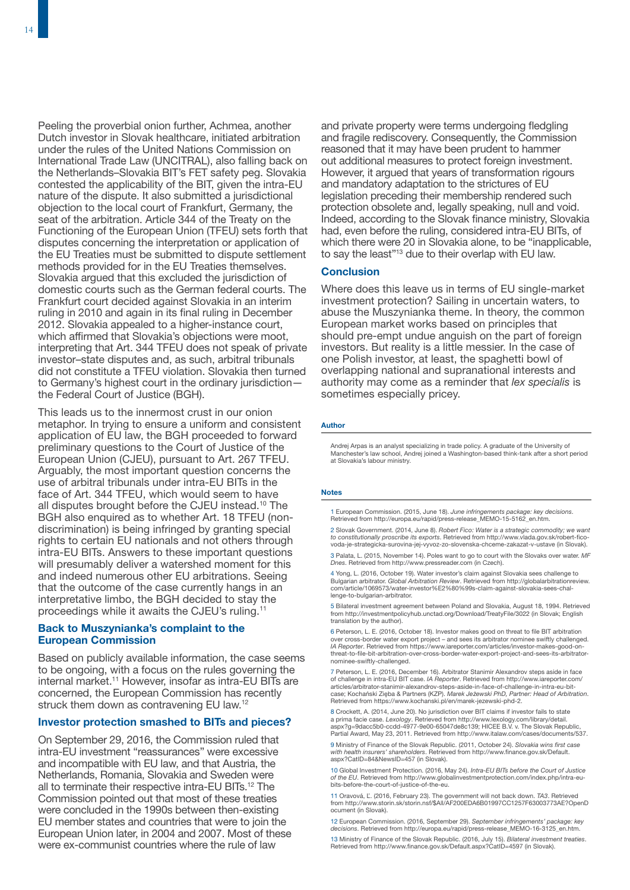Peeling the proverbial onion further, Achmea, another Dutch investor in Slovak healthcare, initiated arbitration under the rules of the United Nations Commission on International Trade Law (UNCITRAL), also falling back on the Netherlands–Slovakia BIT's FET safety peg. Slovakia contested the applicability of the BIT, given the intra-EU nature of the dispute. It also submitted a jurisdictional objection to the local court of Frankfurt, Germany, the seat of the arbitration. Article 344 of the Treaty on the Functioning of the European Union (TFEU) sets forth that disputes concerning the interpretation or application of the EU Treaties must be submitted to dispute settlement methods provided for in the EU Treaties themselves. Slovakia argued that this excluded the jurisdiction of domestic courts such as the German federal courts. The Frankfurt court decided against Slovakia in an interim ruling in 2010 and again in its final ruling in December 2012. Slovakia appealed to a higher-instance court, which affirmed that Slovakia's objections were moot, interpreting that Art. 344 TFEU does not speak of private investor–state disputes and, as such, arbitral tribunals did not constitute a TFEU violation. Slovakia then turned to Germany's highest court in the ordinary jurisdiction the Federal Court of Justice (BGH).

This leads us to the innermost crust in our onion metaphor. In trying to ensure a uniform and consistent application of EU law, the BGH proceeded to forward preliminary questions to the Court of Justice of the European Union (CJEU), pursuant to Art. 267 TFEU. Arguably, the most important question concerns the use of arbitral tribunals under intra-EU BITs in the face of Art. 344 TFEU, which would seem to have all disputes brought before the CJEU instead.<sup>10</sup> The BGH also enquired as to whether Art. 18 TFEU (nondiscrimination) is being infringed by granting special rights to certain EU nationals and not others through intra-EU BITs. Answers to these important questions will presumably deliver a watershed moment for this and indeed numerous other EU arbitrations. Seeing that the outcome of the case currently hangs in an interpretative limbo, the BGH decided to stay the proceedings while it awaits the CJEU's ruling.11

### Back to Muszynianka's complaint to the European Commission

Based on publicly available information, the case seems to be ongoing, with a focus on the rules governing the internal market.11 However, insofar as intra-EU BITs are concerned, the European Commission has recently struck them down as contravening EU law.<sup>12</sup>

### Investor protection smashed to BITs and pieces?

On September 29, 2016, the Commission ruled that intra-EU investment "reassurances" were excessive and incompatible with EU law, and that Austria, the Netherlands, Romania, Slovakia and Sweden were all to terminate their respective intra-EU BITs.<sup>12</sup> The Commission pointed out that most of these treaties were concluded in the 1990s between then-existing EU member states and countries that were to join the European Union later, in 2004 and 2007. Most of these were ex-communist countries where the rule of law

and private property were terms undergoing fledgling and fragile rediscovery. Consequently, the Commission reasoned that it may have been prudent to hammer out additional measures to protect foreign investment. However, it argued that years of transformation rigours and mandatory adaptation to the strictures of EU legislation preceding their membership rendered such protection obsolete and, legally speaking, null and void. Indeed, according to the Slovak finance ministry, Slovakia had, even before the ruling, considered intra-EU BITs, of which there were 20 in Slovakia alone, to be "inapplicable, to say the least"<sup>13</sup> due to their overlap with EU law.

### **Conclusion**

Where does this leave us in terms of EU single-market investment protection? Sailing in uncertain waters, to abuse the Muszynianka theme. In theory, the common European market works based on principles that should pre-empt undue anguish on the part of foreign investors. But reality is a little messier. In the case of one Polish investor, at least, the spaghetti bowl of overlapping national and supranational interests and authority may come as a reminder that *lex specialis* is sometimes especially pricey.

### Author

Andrej Arpas is an analyst specializing in trade policy. A graduate of the University of Manchester's law school, Andrej joined a Washington-based think-tank after a short period at Slovakia's labour ministry.

### Notes

1 European Commission. (2015, June 18). *June infringements package: key decisions*. Retrieved from [http://europa.eu/rapid/press-release\\_MEMO-15-5162\\_en.htm.](http://europa.eu/rapid/press-release_MEMO-15-5162_en.htm)

2 Slovak Government. (2014, June 8). *Robert Fico: Water is a strategic commodity; we want to constitutionally proscribe its exports*. Retrieved from [http://www.vlada.gov.sk/robert-fico](http://www.vlada.gov.sk/robert-fico-voda-je-strategicka-surovina-jej-vyvoz-zo-slovenska-chceme-zakazat-v-ustave/)[voda-je-strategicka-surovina-jej-vyvoz-zo-slovenska-chceme-zakazat-v-ustave](http://www.vlada.gov.sk/robert-fico-voda-je-strategicka-surovina-jej-vyvoz-zo-slovenska-chceme-zakazat-v-ustave/) (in Slovak).

3 Palata, L. (2015, November 14). Poles want to go to court with the Slovaks over water. *MF Dnes*. Retrieved from [http://www.pressreader.com](http://www.pressreader.com/) (in Czech).

4 Yong, L. (2016, October 19). Water investor's claim against Slovakia sees challenge to<br>Bulgarian arbitrator. Gl*obal Arbitration Review.* Retrieved from [http://globalarbitrationreview.](http://globalarbitrationreview.com/article/1069573/water-investor%E2%80%99s-claim-against-slovakia-sees-challenge-to-bulgarian-arbitrator)<br>com/article/1069573/water-investor% [lenge-to-bulgarian-arbitrator.](http://globalarbitrationreview.com/article/1069573/water-investor%E2%80%99s-claim-against-slovakia-sees-challenge-to-bulgarian-arbitrator)

5 Bilateral investment agreement between Poland and Slovakia, August 18, 1994. Retrieved from<http://investmentpolicyhub.unctad.org/Download/TreatyFile/3022>(in Slovak; English translation by the author).

6 Peterson, L. E. (2016, October 18). Investor makes good on threat to file BIT arbitration over cross-border water export project – and sees its arbitrator nominee swiftly challenged. *IA Reporter*. Retrieved from [https://www.iareporter.com/articles/investor-makes-good-on](https://www.iareporter.com/articles/investor-makes-good-on-threat-to-file-bit-arbitration-over-cross-border-water-export-project-and-sees-its-arbitrator-nominee-swiftly-challenged/)[threat-to-file-bit-arbitration-over-cross-border-water-export-project-and-sees-its-arbitrator](https://www.iareporter.com/articles/investor-makes-good-on-threat-to-file-bit-arbitration-over-cross-border-water-export-project-and-sees-its-arbitrator-nominee-swiftly-challenged/)[nominee-swiftly-challenged.](https://www.iareporter.com/articles/investor-makes-good-on-threat-to-file-bit-arbitration-over-cross-border-water-export-project-and-sees-its-arbitrator-nominee-swiftly-challenged/)

7 Peterson, L. E. (2016, December 16). Arbitrator Stanimir Alexandrov steps aside in face of challenge in intra-EU BIT case. *IA Reporter*. Retrieved from [http://www.iareporter.com/](http://www.iareporter.com/articles/arbitrator-stanimir-alexandrov-steps-aside-in-face-of-challenge-in-intra-eu-bit-case/) [articles/arbitrator-stanimir-alexandrov-steps-aside-in-face-of-challenge-in-intra-eu-bit](http://www.iareporter.com/articles/arbitrator-stanimir-alexandrov-steps-aside-in-face-of-challenge-in-intra-eu-bit-case/)[case](http://www.iareporter.com/articles/arbitrator-stanimir-alexandrov-steps-aside-in-face-of-challenge-in-intra-eu-bit-case/); Kochański Zięba & Partners (KZP). *Marek Jeżewski PhD, Partner: Head of Arbitration*. Retrieved from [https://www.kochanski.pl/en/marek-jezewski-phd-2.](https://www.kochanski.pl/en/marek-jezewski-phd-2/)

8 Crockett, A. (2014, June 20). No jurisdiction over BIT claims if investor fails to state a prima facie case. *Lexology*. Retrieved from [http://www.lexology.com/library/detail.](http://www.lexology.com/library/detail.aspx?g=9dacc5b0-ccdd-4977-9e00-65047de8c139) [aspx?g=9dacc5b0-ccdd-4977-9e00-65047de8c139](http://www.lexology.com/library/detail.aspx?g=9dacc5b0-ccdd-4977-9e00-65047de8c139); HICEE B.V. v. The Slovak Republic, Partial Award, May 23, 2011. Retrieved from [http://www.italaw.com/cases/documents/537](https://www.italaw.com/cases/documents/537).

9 Ministry of Finance of the Slovak Republic. (2011, October 24). *Slovakia wins first case with health insurers' shareholders*. Retrieved from [http://www.finance.gov.sk/Default.](http://www.finance.gov.sk/Default.aspx?CatID=84&NewsID=457) [aspx?CatID=84&NewsID=457](http://www.finance.gov.sk/Default.aspx?CatID=84&NewsID=457) (in Slovak).

10 Global Investment Protection. (2016, May 24). *Intra-EU BITs before the Court of Justice of the EU*. Retrieved from [http://www.globalinvestmentprotection.com/index.php/intra-eu](http://www.globalinvestmentprotection.com/index.php/intra-eu-bits-before-the-court-of-justice-of-the-eu/)[bits-before-the-court-of-justice-of-the-eu.](http://www.globalinvestmentprotection.com/index.php/intra-eu-bits-before-the-court-of-justice-of-the-eu/)

11 Oravová, Ľ. (2016, February 23). The government will not back down. *TA3*. Retrieved from [http://www.storin.sk/storin.nsf/\\$All/AF200EDA6B01997CC1257F63003773AE?OpenD](http://www.storin.sk/storin.nsf/$All/AF200EDA6B01997CC1257F63003773AE?OpenDocument) [ocument](http://www.storin.sk/storin.nsf/$All/AF200EDA6B01997CC1257F63003773AE?OpenDocument) (in Slovak).

12 European Commission. (2016, September 29). *September infringements' package: key decisions*. Retrieved from [http://europa.eu/rapid/press-release\\_MEMO-16-3125\\_en.htm.](http://europa.eu/rapid/press-release_MEMO-16-3125_en.htm) 13 Ministry of Finance of the Slovak Republic. (2016, July 15). *Bilateral investment treaties*.

Retrieved from <http://www.finance.gov.sk/Default.aspx?CatID=4597> (in Slovak).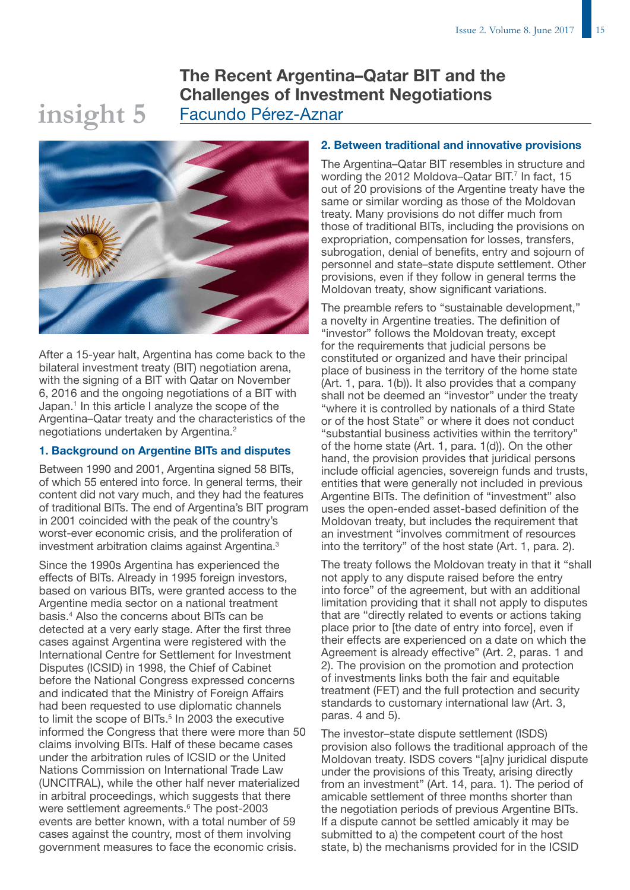# The Recent Argentina–Qatar BIT and the Challenges of Investment Negotiations Facundo Pérez-Aznar



**insight 5**

After a 15-year halt, Argentina has come back to the bilateral investment treaty (BIT) negotiation arena, with the signing of a BIT with Qatar on November 6, 2016 and the ongoing negotiations of a BIT with Japan.<sup>1</sup> In this article I analyze the scope of the Argentina–Qatar treaty and the characteristics of the negotiations undertaken by Argentina.2

### 1. Background on Argentine BITs and disputes

Between 1990 and 2001, Argentina signed 58 BITs, of which 55 entered into force. In general terms, their content did not vary much, and they had the features of traditional BITs. The end of Argentina's BIT program in 2001 coincided with the peak of the country's worst-ever economic crisis, and the proliferation of investment arbitration claims against Argentina.<sup>3</sup>

Since the 1990s Argentina has experienced the effects of BITs. Already in 1995 foreign investors, based on various BITs, were granted access to the Argentine media sector on a national treatment basis.4 Also the concerns about BITs can be detected at a very early stage. After the first three cases against Argentina were registered with the International Centre for Settlement for Investment Disputes (ICSID) in 1998, the Chief of Cabinet before the National Congress expressed concerns and indicated that the Ministry of Foreign Affairs had been requested to use diplomatic channels to limit the scope of BITs.<sup>5</sup> In 2003 the executive informed the Congress that there were more than 50 claims involving BITs. Half of these became cases under the arbitration rules of ICSID or the United Nations Commission on International Trade Law (UNCITRAL), while the other half never materialized in arbitral proceedings, which suggests that there were settlement agreements.<sup>6</sup> The post-2003 events are better known, with a total number of 59 cases against the country, most of them involving government measures to face the economic crisis.

### 2. Between traditional and innovative provisions

The Argentina–Qatar BIT resembles in structure and wording the 2012 Moldova-Qatar BIT. $<sup>7</sup>$  In fact, 15</sup> out of 20 provisions of the Argentine treaty have the same or similar wording as those of the Moldovan treaty. Many provisions do not differ much from those of traditional BITs, including the provisions on expropriation, compensation for losses, transfers, subrogation, denial of benefits, entry and sojourn of personnel and state–state dispute settlement. Other provisions, even if they follow in general terms the Moldovan treaty, show significant variations.

The preamble refers to "sustainable development," a novelty in Argentine treaties. The definition of "investor" follows the Moldovan treaty, except for the requirements that judicial persons be constituted or organized and have their principal place of business in the territory of the home state (Art. 1, para. 1(b)). It also provides that a company shall not be deemed an "investor" under the treaty "where it is controlled by nationals of a third State or of the host State" or where it does not conduct "substantial business activities within the territory" of the home state (Art. 1, para. 1(d)). On the other hand, the provision provides that juridical persons include official agencies, sovereign funds and trusts, entities that were generally not included in previous Argentine BITs. The definition of "investment" also uses the open-ended asset-based definition of the Moldovan treaty, but includes the requirement that an investment "involves commitment of resources into the territory" of the host state (Art. 1, para. 2).

The treaty follows the Moldovan treaty in that it "shall not apply to any dispute raised before the entry into force" of the agreement, but with an additional limitation providing that it shall not apply to disputes that are "directly related to events or actions taking place prior to [the date of entry into force], even if their effects are experienced on a date on which the Agreement is already effective" (Art. 2, paras. 1 and 2). The provision on the promotion and protection of investments links both the fair and equitable treatment (FET) and the full protection and security standards to customary international law (Art. 3, paras. 4 and 5).

The investor–state dispute settlement (ISDS) provision also follows the traditional approach of the Moldovan treaty. ISDS covers "[a]ny juridical dispute under the provisions of this Treaty, arising directly from an investment" (Art. 14, para. 1). The period of amicable settlement of three months shorter than the negotiation periods of previous Argentine BITs. If a dispute cannot be settled amicably it may be submitted to a) the competent court of the host state, b) the mechanisms provided for in the ICSID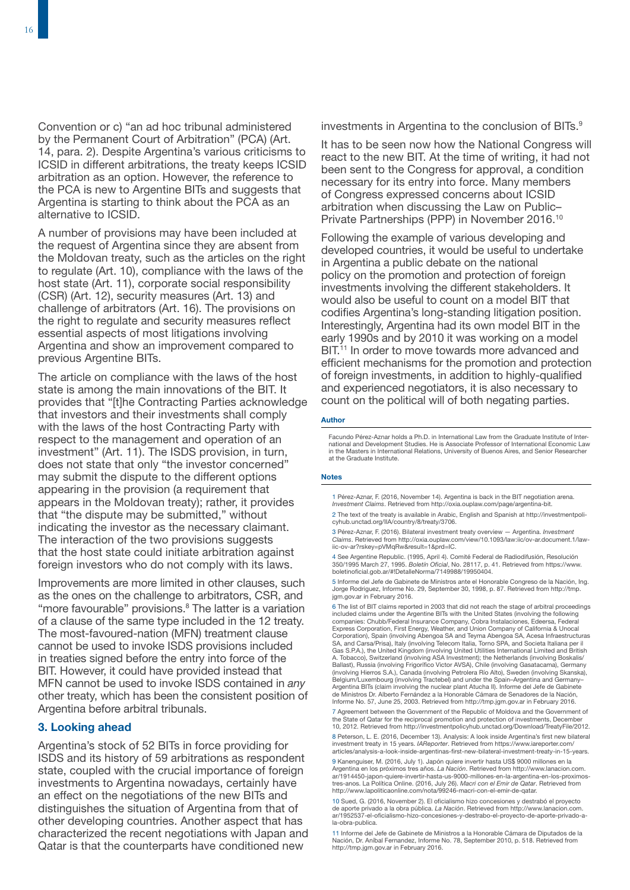Convention or c) "an ad hoc tribunal administered by the Permanent Court of Arbitration" (PCA) (Art. 14, para. 2). Despite Argentina's various criticisms to ICSID in different arbitrations, the treaty keeps ICSID arbitration as an option. However, the reference to the PCA is new to Argentine BITs and suggests that Argentina is starting to think about the PCA as an alternative to ICSID.

A number of provisions may have been included at the request of Argentina since they are absent from the Moldovan treaty, such as the articles on the right to regulate (Art. 10), compliance with the laws of the host state (Art. 11), corporate social responsibility (CSR) (Art. 12), security measures (Art. 13) and challenge of arbitrators (Art. 16). The provisions on the right to regulate and security measures reflect essential aspects of most litigations involving Argentina and show an improvement compared to previous Argentine BITs.

The article on compliance with the laws of the host state is among the main innovations of the BIT. It provides that "[t]he Contracting Parties acknowledge that investors and their investments shall comply with the laws of the host Contracting Party with respect to the management and operation of an investment" (Art. 11). The ISDS provision, in turn, does not state that only "the investor concerned" may submit the dispute to the different options appearing in the provision (a requirement that appears in the Moldovan treaty); rather, it provides that "the dispute may be submitted," without indicating the investor as the necessary claimant. The interaction of the two provisions suggests that the host state could initiate arbitration against foreign investors who do not comply with its laws.

Improvements are more limited in other clauses, such as the ones on the challenge to arbitrators, CSR, and "more favourable" provisions.<sup>8</sup> The latter is a variation of a clause of the same type included in the 12 treaty. The most-favoured-nation (MFN) treatment clause cannot be used to invoke ISDS provisions included in treaties signed before the entry into force of the BIT. However, it could have provided instead that MFN cannot be used to invoke ISDS contained in *any* other treaty, which has been the consistent position of Argentina before arbitral tribunals.

### 3. Looking ahead

Argentina's stock of 52 BITs in force providing for ISDS and its history of 59 arbitrations as respondent state, coupled with the crucial importance of foreign investments to Argentina nowadays, certainly have an effect on the negotiations of the new BITs and distinguishes the situation of Argentina from that of other developing countries. Another aspect that has characterized the recent negotiations with Japan and Qatar is that the counterparts have conditioned new

investments in Argentina to the conclusion of BITs.<sup>9</sup>

It has to be seen now how the National Congress will react to the new BIT. At the time of writing, it had not been sent to the Congress for approval, a condition necessary for its entry into force. Many members of Congress expressed concerns about ICSID arbitration when discussing the Law on Public– Private Partnerships (PPP) in November 2016.10

Following the example of various developing and developed countries, it would be useful to undertake in Argentina a public debate on the national policy on the promotion and protection of foreign investments involving the different stakeholders. It would also be useful to count on a model BIT that codifies Argentina's long-standing litigation position. Interestingly, Argentina had its own model BIT in the early 1990s and by 2010 it was working on a model BIT.<sup>11</sup> In order to move towards more advanced and efficient mechanisms for the promotion and protection of foreign investments, in addition to highly-qualified and experienced negotiators, it is also necessary to count on the political will of both negating parties.

### Author

Facundo Pérez-Aznar holds a Ph.D. in International Law from the Graduate Institute of International and Development Studies. He is Associate Professor of International Economic Law in the Masters in International Relations, University of Buenos Aires, and Senior Researcher at the Graduate Institute.

### Notes

1 Pérez-Aznar, F. (2016, November 14). Argentina is back in the BIT negotiation arena. *Investment Claims*. Retrieved from [http://oxia.ouplaw.com/page/argentina-bit.](http://oxia.ouplaw.com/page/argentina-bit)

2 The text of the treaty is available in Arabic, English and Spanish at [http://investmentpoli](http://investmentpolicyhub.unctad.org/IIA/country/8/treaty/3706)[cyhub.unctad.org/IIA/country/8/treaty/3706.](http://investmentpolicyhub.unctad.org/IIA/country/8/treaty/3706) 

3 Pérez-Aznar, F. (2016). Bilateral investment treaty overview — Argentina. *Investment Claims*. Retrieved from [http://oxia.ouplaw.com/view/10.1093/law:iic/ov-ar.document.1/law](http://oxia.ouplaw.com/view/10.1093/law:iic/ov-ar.document.1/law-iic-ov-ar?rskey=pVMqRw&result=1&prd=IC)[iic-ov-ar?rskey=pVMqRw&result=1&prd=IC.](http://oxia.ouplaw.com/view/10.1093/law:iic/ov-ar.document.1/law-iic-ov-ar?rskey=pVMqRw&result=1&prd=IC)

4 See Argentine Republic. (1995, April 4). Comité Federal de Radiodifusión, Resolución<br>350/1995 March 27, 1995. *Boletín Oficial,* No. 28117, p. 41. Retrieved from [https://www.](https://www.boletinoficial.gob.ar/#!DetalleNorma/7149988/19950404)<br>boletinoficial.gob.ar/#!DetalleNorma/7149988/

5 Informe del Jefe de Gabinete de Ministros ante el Honorable Congreso de la Nación, Ing. Jorge Rodriguez, Informe No. 29, September 30, 1998, p. 87. Retrieved from [http://tmp.](http://tmp.jgm.gov.ar) [jgm.gov.ar](http://tmp.jgm.gov.ar) in February 2016.

6 The list of BIT claims reported in 2003 that did not reach the stage of arbitral proceedings included claims under the Argentine BITs with the United States (involving the following companies: Chubb/Federal Insurance Company, Cobra Instalaciones, Edeersa, Federal Express Corporation, First Energy, Weather, and Union Company of California & Unocal Corporation), Spain (involving Abengoa SA and Teyma Abengoa SA, Acesa Infraestructuras SA, and Carsa/Prisa), Italy (involving Telecom Italia, Torno SPA, and Societa Italiana per il Gas S.P.A.), the United Kingdom (involving United Utilities International Limited and British A. Tobacco), Switzerland (involving ASA Investment); the Netherlands (involving Boskalis/ Ballast), Russia (involving Frigorífico Victor AVSA), Chile (involving Gasatacama), Germany (involving Hierros S.A.), Canada (involving Petrolera Río Alto), Sweden (involving Skanska), Belgium/Luxembourg (involving Tractebel) and under the Spain–Argentina and Germany– Argentina BITs (claim involving the nuclear plant Atucha II). Informe del Jefe de Gabinete de Ministros Dr. Alberto Fernández a la Honorable Cámara de Senadores de la Nación, Informe No. 57, June 25, 2003. Retrieved from <http://tmp.jgm.gov.ar> in February 2016.

7 Agreement between the Government of the Republic of Moldova and the Government of the State of Oatar for the reciprocal promotion and protection of investments, December 10, 2012. Retrieved from [http://investmentpolicyhub.unctad.org/Download/TreatyFile/2012.](http://investmentpolicyhub.unctad.org/Download/TreatyFile/2012)

8 Peterson, L. E. (2016, December 13). Analysis: A look inside Argentina's first new bilateral investment treaty in 15 years. *IAReporter*. Retrieved from [https://www.iareporter.com/](https://www.iareporter.com/articles/analysis-a-look-inside-argentinas-first-new-bilateral-investment-treaty-in-15-years) [articles/analysis-a-look-inside-argentinas-first-new-bilateral-investment-treaty-in-15-years.](https://www.iareporter.com/articles/analysis-a-look-inside-argentinas-first-new-bilateral-investment-treaty-in-15-years)

9 Kanenguiser, M. (2016, July 1). Japón quiere invertir hasta US\$ 9000 millones en la Argentina en los próximos tres años. *La Nación*. Retrieved from [http://www.lanacion.com.](http://www.lanacion.com.ar/1914450-japon-quiere-invertir-hasta-us-9000-millones-en-la-argentina-en-los-proximos-tres-anos) [ar/1914450-japon-quiere-invertir-hasta-us-9000-millones-en-la-argentina-en-los-proximos](http://www.lanacion.com.ar/1914450-japon-quiere-invertir-hasta-us-9000-millones-en-la-argentina-en-los-proximos-tres-anos)[tres-anos](http://www.lanacion.com.ar/1914450-japon-quiere-invertir-hasta-us-9000-millones-en-la-argentina-en-los-proximos-tres-anos). La Política Online. (2016, July 26). *Macri con el Emir de Qatar*. Retrieved from [http://www.lapoliticaonline.com/nota/99246-macri-con-el-emir-de-qatar.](http://www.lapoliticaonline.com/nota/99246-macri-con-el-emir-de-qatar)

10 Sued, G. (2016, November 2). El oficialismo hizo concesiones y destrabó el proyecto de aporte privado a la obra pública. *La Nación*. Retrieved from [http://www.lanacion.com.](http://www.lanacion.com.ar/1952537-el-oficialismo-hizo-concesiones-y-destrabo-el-proyecto-de-aporte-privado-a-la-obra-publica) [ar/1952537-el-oficialismo-hizo-concesiones-y-destrabo-el-proyecto-de-aporte-privado-a](http://www.lanacion.com.ar/1952537-el-oficialismo-hizo-concesiones-y-destrabo-el-proyecto-de-aporte-privado-a-la-obra-publica)[la-obra-publica.](http://www.lanacion.com.ar/1952537-el-oficialismo-hizo-concesiones-y-destrabo-el-proyecto-de-aporte-privado-a-la-obra-publica) 

11 Informe del Jefe de Gabinete de Ministros a la Honorable Cámara de Diputados de la Nación, Dr. Aníbal Fernandez, Informe No. 78, September 2010, p. 518. Retrieved from <http://tmp.jgm.gov.ar>in February 2016.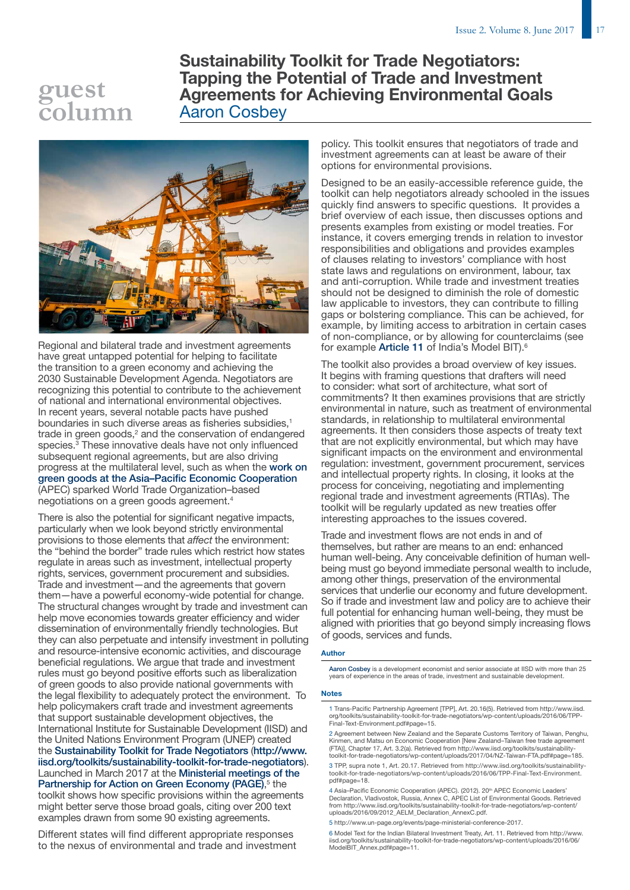# **guest column**

Sustainability Toolkit for Trade Negotiators: Tapping the Potential of Trade and Investment Agreements for Achieving Environmental Goals Aaron Cosbey



Regional and bilateral trade and investment agreements have great untapped potential for helping to facilitate the transition to a green economy and achieving the 2030 Sustainable Development Agenda. Negotiators are recognizing this potential to contribute to the achievement of national and international environmental objectives. In recent years, several notable pacts have pushed boundaries in such diverse areas as fisheries subsidies.<sup>1</sup> trade in green goods, $2$  and the conservation of endangered species.<sup>3</sup> These innovative deals have not only influenced subsequent regional agreements, but are also driving progress at the multilateral level, such as when the [work on](http://www.iisd.org/toolkits/sustainability-toolkit-for-trade-negotiators/wp-content/uploads/2016/09/2012_AELM_Declaration_AnnexC.pdf)  [green goods at the Asia–Pacific Economic Cooperation](http://www.iisd.org/toolkits/sustainability-toolkit-for-trade-negotiators/wp-content/uploads/2016/09/2012_AELM_Declaration_AnnexC.pdf) (APEC) sparked World Trade Organization–based negotiations on a green goods agreement.4

There is also the potential for significant negative impacts, particularly when we look beyond strictly environmental provisions to those elements that *affect* the environment: the "behind the border" trade rules which restrict how states regulate in areas such as investment, intellectual property rights, services, government procurement and subsidies. Trade and investment—and the agreements that govern them—have a powerful economy-wide potential for change. The structural changes wrought by trade and investment can help move economies towards greater efficiency and wider dissemination of environmentally friendly technologies. But they can also perpetuate and intensify investment in polluting and resource-intensive economic activities, and discourage beneficial regulations. We argue that trade and investment rules must go beyond positive efforts such as liberalization of green goods to also provide national governments with the legal flexibility to adequately protect the environment. To help policymakers craft trade and investment agreements that support sustainable development objectives, the International Institute for Sustainable Development (IISD) and the United Nations Environment Program (UNEP) created the [Sustainability Toolkit for Trade Negotiators](http://www.iisd.org/toolkits/sustainability-toolkit-for-trade-negotiators/) ([http://www.](http://www.iisd.org/toolkits/sustainability-toolkit-for-trade-negotiators) [iisd.org/toolkits/sustainability-toolkit-for-trade-negotiators](http://www.iisd.org/toolkits/sustainability-toolkit-for-trade-negotiators)). Launched in March 2017 at the [Ministerial meetings of the](http://www.un-page.org/events/page-ministerial-conference-2017)  [Partnership for Action on Green Economy \(PAGE\)](http://www.un-page.org/events/page-ministerial-conference-2017),<sup>5</sup> the toolkit shows how specific provisions within the agreements might better serve those broad goals, citing over 200 text examples drawn from some 90 existing agreements.

Different states will find different appropriate responses to the nexus of environmental and trade and investment policy. This toolkit ensures that negotiators of trade and investment agreements can at least be aware of their options for environmental provisions.

Designed to be an easily-accessible reference guide, the toolkit can help negotiators already schooled in the issues quickly find answers to specific questions. It provides a brief overview of each issue, then discusses options and presents examples from existing or model treaties. For instance, it covers emerging trends in relation to investor responsibilities and obligations and provides examples of clauses relating to investors' compliance with host state laws and regulations on environment, labour, tax and anti-corruption. While trade and investment treaties should not be designed to diminish the role of domestic law applicable to investors, they can contribute to filling gaps or bolstering compliance. This can be achieved, for example, by limiting access to arbitration in certain cases of non-compliance, or by allowing for counterclaims (see for example [Article 11](http://www.iisd.org/toolkits/sustainability-toolkit-for-trade-negotiators/wp-content/uploads/2016/06/ModelBIT_Annex.pdf#page=11) of India's Model BIT).6

The toolkit also provides a broad overview of key issues. It begins with framing questions that drafters will need to consider: what sort of architecture, what sort of commitments? It then examines provisions that are strictly environmental in nature, such as treatment of environmental standards, in relationship to multilateral environmental agreements. It then considers those aspects of treaty text that are not explicitly environmental, but which may have significant impacts on the environment and environmental regulation: investment, government procurement, services and intellectual property rights. In closing, it looks at the process for conceiving, negotiating and implementing regional trade and investment agreements (RTIAs). The toolkit will be regularly updated as new treaties offer interesting approaches to the issues covered.

Trade and investment flows are not ends in and of themselves, but rather are means to an end: enhanced human well-being. Any conceivable definition of human wellbeing must go beyond immediate personal wealth to include, among other things, preservation of the environmental services that underlie our economy and future development. So if trade and investment law and policy are to achieve their full potential for enhancing human well-being, they must be aligned with priorities that go beyond simply increasing flows of goods, services and funds.

### Author

[Aaron Cosbey](https://www.iisd.org/about/people/aaron-cosbey) is a development economist and senior associate at IISD with more than 25 years of experience in the areas of trade, investment and sustainable development.

### Notes

1 Trans-Pacific Partnership Agreement [TPP], Art. 20.16(5). Retrieved from [http://www.iisd.](http://www.iisd.org/toolkits/sustainability-toolkit-for-trade-negotiators/wp-content/uploads/2016/06/TPP-Final-Text-Environment.pdf#page=15) [org/toolkits/sustainability-toolkit-for-trade-negotiators/wp-content/uploads/2016/06/TPP-](http://www.iisd.org/toolkits/sustainability-toolkit-for-trade-negotiators/wp-content/uploads/2016/06/TPP-Final-Text-Environment.pdf#page=15)[Final-Text-Environment.pdf#page=15.](http://www.iisd.org/toolkits/sustainability-toolkit-for-trade-negotiators/wp-content/uploads/2016/06/TPP-Final-Text-Environment.pdf#page=15)

2 Agreement between New Zealand and the Separate Customs Territory of Taiwan, Penghu, Kinmen, and Matsu on Economic Cooperation [New Zealand–Taiwan free trade agreement (FTA)], Chapter 17, Art. 3.2(a). Retrieved from [http://www.iisd.org/toolkits/sustainability](http://www.iisd.org/toolkits/sustainability-toolkit-for-trade-negotiators/wp-content/uploads/2017/04/NZ-Taiwan-FTA.pdf#page=185)[toolkit-for-trade-negotiators/wp-content/uploads/2017/04/NZ-Taiwan-FTA.pdf#page=185.](http://www.iisd.org/toolkits/sustainability-toolkit-for-trade-negotiators/wp-content/uploads/2017/04/NZ-Taiwan-FTA.pdf#page=185) 

3 TPP, supra note 1, Art. 20.17. Retrieved from [http://www.iisd.org/toolkits/sustainability](http://www.iisd.org/toolkits/sustainability-toolkit-for-trade-negotiators/wp-content/uploads/2016/06/TPP-Final-Text-Environment.pdf#page=18)[toolkit-for-trade-negotiators/wp-content/uploads/2016/06/TPP-Final-Text-Environment.](http://www.iisd.org/toolkits/sustainability-toolkit-for-trade-negotiators/wp-content/uploads/2016/06/TPP-Final-Text-Environment.pdf#page=18) [pdf#page=18.](http://www.iisd.org/toolkits/sustainability-toolkit-for-trade-negotiators/wp-content/uploads/2016/06/TPP-Final-Text-Environment.pdf#page=18) 

4 Asia–Pacific Economic Cooperation (APEC). (2012). 20<sup>th</sup> APEC Economic Leaders'<br>Declaration, Vladivostok, Russia, Annex C, APEC List of Environmental Goods. Retrieved from [http://www.iisd.org/toolkits/sustainability-toolkit-for-trade-negotiators/wp-content/](http://www.iisd.org/toolkits/sustainability-toolkit-for-trade-negotiators/wp-content/uploads/2016/09/2012_AELM_Declaration_AnnexC.pdf) [uploads/2016/09/2012\\_AELM\\_Declaration\\_AnnexC.pdf.](http://www.iisd.org/toolkits/sustainability-toolkit-for-trade-negotiators/wp-content/uploads/2016/09/2012_AELM_Declaration_AnnexC.pdf)

5 [http://www.un-page.org/events/page-ministerial-conference-2017.](http://www.un-page.org/events/page-ministerial-conference-2017) 

6 Model Text for the Indian Bilateral Investment Treaty, Art. 11. Retrieved from [http://www.](http://www.iisd.org/toolkits/sustainability-toolkit-for-trade-negotiators/wp-content/uploads/2016/06/ModelBIT_Annex.pdf#page=11) [iisd.org/toolkits/sustainability-toolkit-for-trade-negotiators/wp-content/uploads/2016/06/](http://www.iisd.org/toolkits/sustainability-toolkit-for-trade-negotiators/wp-content/uploads/2016/06/ModelBIT_Annex.pdf#page=11) [ModelBIT\\_Annex.pdf#page=11.](http://www.iisd.org/toolkits/sustainability-toolkit-for-trade-negotiators/wp-content/uploads/2016/06/ModelBIT_Annex.pdf#page=11)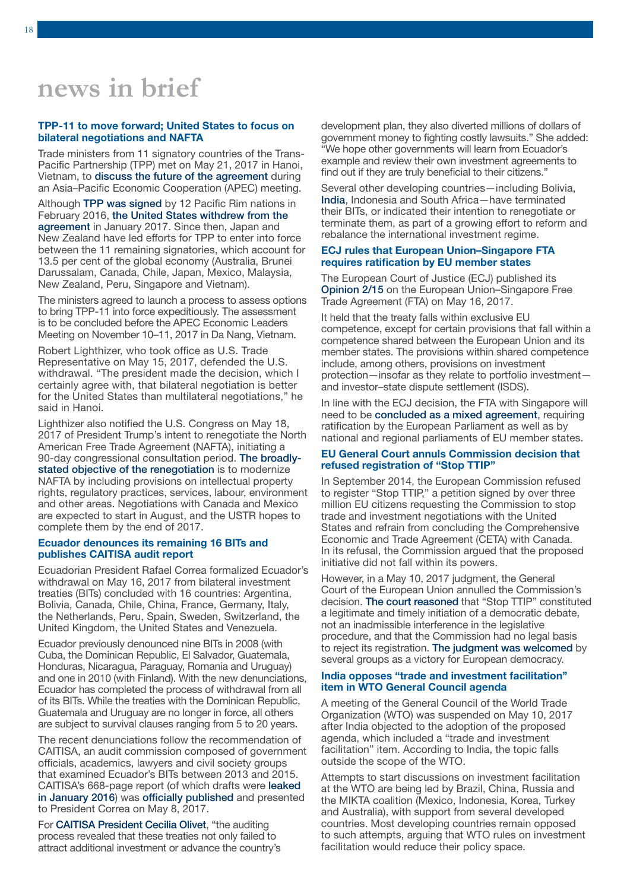# **news in brief**

### TPP-11 to move forward; United States to focus on bilateral negotiations and NAFTA

Trade ministers from 11 signatory countries of the Trans-Pacific Partnership (TPP) met on May 21, 2017 in Hanoi, Vietnam, to [discuss the future of the agreement](http://www.huffingtonpost.ca/2017/05/21/tpp-11-trans-pacific-partnership_n_16740592.html) during an Asia–Pacific Economic Cooperation (APEC) meeting.

Although [TPP was signed](https://www.iisd.org/itn/2016/02/29/trans-pacific-partnership-agreement-signed-in-auckland-un-independent-expert-calls-on-states-to-safeguard-regulatory-space/) by 12 Pacific Rim nations in February 2016, [the United States withdrew from the](https://www.iisd.org/itn/2017/03/13/trump-pulls-united-states-out-of-tpp-intends-to-pursue-bilateral-agreements/)  [agreement](https://www.iisd.org/itn/2017/03/13/trump-pulls-united-states-out-of-tpp-intends-to-pursue-bilateral-agreements/) in January 2017. Since then, Japan and New Zealand have led efforts for TPP to enter into force between the 11 remaining signatories, which account for 13.5 per cent of the global economy (Australia, Brunei Darussalam, Canada, Chile, Japan, Mexico, Malaysia, New Zealand, Peru, Singapore and Vietnam).

The ministers agreed to launch a process to assess options to bring TPP-11 into force expeditiously. The assessment is to be concluded before the APEC Economic Leaders Meeting on November 10–11, 2017 in Da Nang, Vietnam.

Robert Lighthizer, who took office as U.S. Trade Representative on May 15, 2017, defended the U.S. withdrawal. "The president made the decision, which I certainly agree with, that bilateral negotiation is better for the United States than multilateral negotiations," he said in Hanoi.

Lighthizer also notified the U.S. Congress on May 18, 2017 of President Trump's intent to renegotiate the North American Free Trade Agreement (NAFTA), initiating a 90-day congressional consultation period. [The broadly](https://ustr.gov/sites/default/files/files/Press/Releases/NAFTA%20Notification.pdf)[stated objective of the renegotiation](https://ustr.gov/sites/default/files/files/Press/Releases/NAFTA%20Notification.pdf) is to modernize NAFTA by including provisions on intellectual property rights, regulatory practices, services, labour, environment and other areas. Negotiations with Canada and Mexico are expected to start in August, and the USTR hopes to complete them by the end of 2017.

### Ecuador denounces its remaining 16 BITs and publishes CAITISA audit report

Ecuadorian President Rafael Correa formalized Ecuador's withdrawal on May 16, 2017 from bilateral investment treaties (BITs) concluded with 16 countries: Argentina, Bolivia, Canada, Chile, China, France, Germany, Italy, the Netherlands, Peru, Spain, Sweden, Switzerland, the United Kingdom, the United States and Venezuela.

Ecuador previously denounced nine BITs in 2008 (with Cuba, the Dominican Republic, El Salvador, Guatemala, Honduras, Nicaragua, Paraguay, Romania and Uruguay) and one in 2010 (with Finland). With the new denunciations, Ecuador has completed the process of withdrawal from all of its BITs. While the treaties with the Dominican Republic, Guatemala and Uruguay are no longer in force, all others are subject to survival clauses ranging from 5 to 20 years.

The recent denunciations follow the recommendation of CAITISA, an audit commission composed of government officials, academics, lawyers and civil society groups that examined Ecuador's BITs between 2013 and 2015. CAITISA's 668-page report (of which drafts were [leaked](https://www.iisd.org/itn/2016/02/29/ecuadors-audit-on-investment-treaties-caitisa-reports-leaked/)  [in January 2016](https://www.iisd.org/itn/2016/02/29/ecuadors-audit-on-investment-treaties-caitisa-reports-leaked/)) was [officially published](http://caitisa.org/index.php/home/enlaces-de-interes) and presented to President Correa on May 8, 2017.

For [CAITISA President Cecilia Olivet](https://www.tni.org/en/article/ecuador-terminates-16-investment-treaties), "the auditing process revealed that these treaties not only failed to attract additional investment or advance the country's development plan, they also diverted millions of dollars of government money to fighting costly lawsuits." She added: "We hope other governments will learn from Ecuador's example and review their own investment agreements to find out if they are truly beneficial to their citizens."

Several other developing countries—including Bolivia, [India](https://www.iisd.org/itn/2016/08/10/india-takes-steps-to-reform-its-investment-policy-framework-after-approving-new-model-bit/), Indonesia and South Africa—have terminated their BITs, or indicated their intention to renegotiate or terminate them, as part of a growing effort to reform and rebalance the international investment regime.

### ECJ rules that European Union–Singapore FTA requires ratification by EU member states

The European Court of Justice (ECJ) published its [Opinion 2/15](http://curia.europa.eu/juris/document/document.jsf?text=&docid=190727&pageIndex=0&doclang=EN&mode=req&dir=&occ=first&part=1&cid=415687) on the European Union–Singapore Free Trade Agreement (FTA) on May 16, 2017.

It held that the treaty falls within exclusive EU competence, except for certain provisions that fall within a competence shared between the European Union and its member states. The provisions within shared competence include, among others, provisions on investment protection—insofar as they relate to portfolio investment and investor–state dispute settlement (ISDS).

In line with the ECJ decision, the FTA with Singapore will need to be [concluded as a mixed agreement](https://www.iisd.org/itn/2016/08/10/ceta-to-be-concluded-as-a-mixed-agreement-commission-hopes-for-signing-in-october/), requiring ratification by the European Parliament as well as by national and regional parliaments of EU member states.

### EU General Court annuls Commission decision that refused registration of "Stop TTIP"

In September 2014, the European Commission refused to register "Stop TTIP," a petition signed by over three million EU citizens requesting the Commission to stop trade and investment negotiations with the United States and refrain from concluding the Comprehensive Economic and Trade Agreement (CETA) with Canada. In its refusal, the Commission argued that the proposed initiative did not fall within its powers.

However, in a May 10, 2017 judgment, the General Court of the European Union annulled the Commission's decision. [The court reasoned](https://curia.europa.eu/jcms/upload/docs/application/pdf/2017-05/cp170049en.pdf) that "Stop TTIP" constituted a legitimate and timely initiation of a democratic debate, not an inadmissible interference in the legislative procedure, and that the Commission had no legal basis to reject its registration. [The judgment was welcomed](https://www.euractiv.com/section/economy-jobs/news/stop-ttip-petition-is-legitimate-top-eu-court-rules/) by several groups as a victory for European democracy.

### India opposes "trade and investment facilitation" item in WTO General Council agenda

A meeting of the General Council of the World Trade Organization (WTO) was suspended on May 10, 2017 after India objected to the adoption of the proposed agenda, which included a "trade and investment facilitation" item. According to India, the topic falls outside the scope of the WTO.

Attempts to start discussions on investment facilitation at the WTO are being led by Brazil, China, Russia and the MIKTA coalition (Mexico, Indonesia, Korea, Turkey and Australia), with support from several developed countries. Most developing countries remain opposed to such attempts, arguing that WTO rules on investment facilitation would reduce their policy space.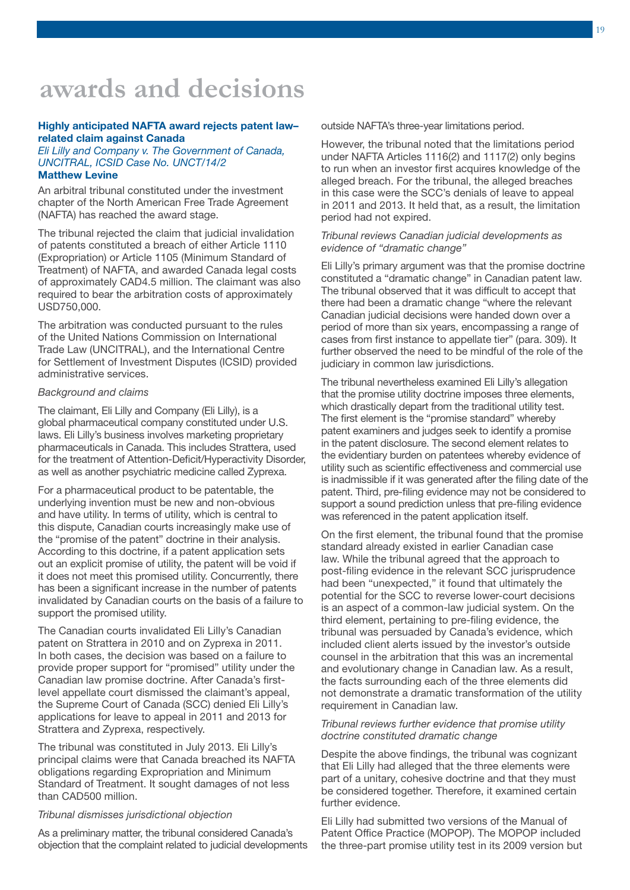# **awards and decisions**

### Highly anticipated NAFTA award rejects patent law– related claim against Canada

### *Eli Lilly and Company v. The Government of Canada, UNCITRAL, ICSID Case No. UNCT/14/2*  Matthew Levine

An arbitral tribunal constituted under the investment chapter of the North American Free Trade Agreement (NAFTA) has reached the award stage.

The tribunal rejected the claim that judicial invalidation of patents constituted a breach of either Article 1110 (Expropriation) or Article 1105 (Minimum Standard of Treatment) of NAFTA, and awarded Canada legal costs of approximately CAD4.5 million. The claimant was also required to bear the arbitration costs of approximately USD750,000.

The arbitration was conducted pursuant to the rules of the United Nations Commission on International Trade Law (UNCITRAL), and the International Centre for Settlement of Investment Disputes (ICSID) provided administrative services.

### *Background and claims*

The claimant, Eli Lilly and Company (Eli Lilly), is a global pharmaceutical company constituted under U.S. laws. Eli Lilly's business involves marketing proprietary pharmaceuticals in Canada. This includes Strattera, used for the treatment of Attention-Deficit/Hyperactivity Disorder, as well as another psychiatric medicine called Zyprexa.

For a pharmaceutical product to be patentable, the underlying invention must be new and non-obvious and have utility. In terms of utility, which is central to this dispute, Canadian courts increasingly make use of the "promise of the patent" doctrine in their analysis. According to this doctrine, if a patent application sets out an explicit promise of utility, the patent will be void if it does not meet this promised utility. Concurrently, there has been a significant increase in the number of patents invalidated by Canadian courts on the basis of a failure to support the promised utility.

The Canadian courts invalidated Eli Lilly's Canadian patent on Strattera in 2010 and on Zyprexa in 2011. In both cases, the decision was based on a failure to provide proper support for "promised" utility under the Canadian law promise doctrine. After Canada's firstlevel appellate court dismissed the claimant's appeal, the Supreme Court of Canada (SCC) denied Eli Lilly's applications for leave to appeal in 2011 and 2013 for Strattera and Zyprexa, respectively.

The tribunal was constituted in July 2013. Eli Lilly's principal claims were that Canada breached its NAFTA obligations regarding Expropriation and Minimum Standard of Treatment. It sought damages of not less than CAD500 million.

### *Tribunal dismisses jurisdictional objection*

As a preliminary matter, the tribunal considered Canada's objection that the complaint related to judicial developments outside NAFTA's three-year limitations period.

However, the tribunal noted that the limitations period under NAFTA Articles 1116(2) and 1117(2) only begins to run when an investor first acquires knowledge of the alleged breach. For the tribunal, the alleged breaches in this case were the SCC's denials of leave to appeal in 2011 and 2013. It held that, as a result, the limitation period had not expired.

### *Tribunal reviews Canadian judicial developments as evidence of "dramatic change"*

Eli Lilly's primary argument was that the promise doctrine constituted a "dramatic change" in Canadian patent law. The tribunal observed that it was difficult to accept that there had been a dramatic change "where the relevant Canadian judicial decisions were handed down over a period of more than six years, encompassing a range of cases from first instance to appellate tier" (para. 309). It further observed the need to be mindful of the role of the judiciary in common law jurisdictions.

The tribunal nevertheless examined Eli Lilly's allegation that the promise utility doctrine imposes three elements, which drastically depart from the traditional utility test. The first element is the "promise standard" whereby patent examiners and judges seek to identify a promise in the patent disclosure. The second element relates to the evidentiary burden on patentees whereby evidence of utility such as scientific effectiveness and commercial use is inadmissible if it was generated after the filing date of the patent. Third, pre-filing evidence may not be considered to support a sound prediction unless that pre-filing evidence was referenced in the patent application itself.

On the first element, the tribunal found that the promise standard already existed in earlier Canadian case law. While the tribunal agreed that the approach to post-filing evidence in the relevant SCC jurisprudence had been "unexpected," it found that ultimately the potential for the SCC to reverse lower-court decisions is an aspect of a common-law judicial system. On the third element, pertaining to pre-filing evidence, the tribunal was persuaded by Canada's evidence, which included client alerts issued by the investor's outside counsel in the arbitration that this was an incremental and evolutionary change in Canadian law. As a result, the facts surrounding each of the three elements did not demonstrate a dramatic transformation of the utility requirement in Canadian law.

### *Tribunal reviews further evidence that promise utility doctrine constituted dramatic change*

Despite the above findings, the tribunal was cognizant that Eli Lilly had alleged that the three elements were part of a unitary, cohesive doctrine and that they must be considered together. Therefore, it examined certain further evidence.

Eli Lilly had submitted two versions of the Manual of Patent Office Practice (MOPOP). The MOPOP included the three-part promise utility test in its 2009 version but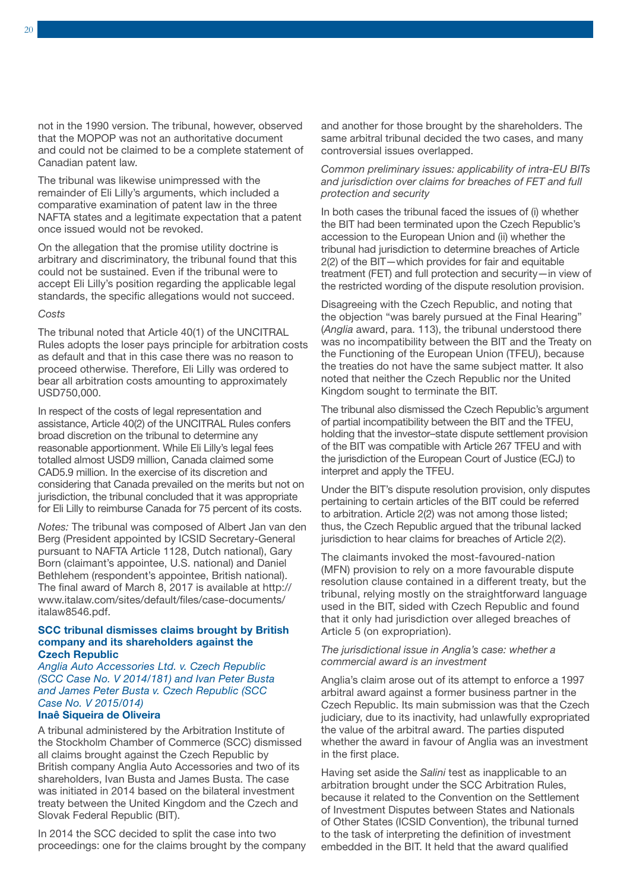not in the 1990 version. The tribunal, however, observed that the MOPOP was not an authoritative document and could not be claimed to be a complete statement of Canadian patent law.

The tribunal was likewise unimpressed with the remainder of Eli Lilly's arguments, which included a comparative examination of patent law in the three NAFTA states and a legitimate expectation that a patent once issued would not be revoked.

On the allegation that the promise utility doctrine is arbitrary and discriminatory, the tribunal found that this could not be sustained. Even if the tribunal were to accept Eli Lilly's position regarding the applicable legal standards, the specific allegations would not succeed.

### *Costs*

The tribunal noted that Article 40(1) of the UNCITRAL Rules adopts the loser pays principle for arbitration costs as default and that in this case there was no reason to proceed otherwise. Therefore, Eli Lilly was ordered to bear all arbitration costs amounting to approximately USD750,000.

In respect of the costs of legal representation and assistance, Article 40(2) of the UNCITRAL Rules confers broad discretion on the tribunal to determine any reasonable apportionment. While Eli Lilly's legal fees totalled almost USD9 million, Canada claimed some CAD5.9 million. In the exercise of its discretion and considering that Canada prevailed on the merits but not on jurisdiction, the tribunal concluded that it was appropriate for Eli Lilly to reimburse Canada for 75 percent of its costs.

*Notes:* The tribunal was composed of Albert Jan van den Berg (President appointed by ICSID Secretary-General pursuant to NAFTA Article 1128, Dutch national), Gary Born (claimant's appointee, U.S. national) and Daniel Bethlehem (respondent's appointee, British national). The final award of March 8, 2017 is available at [http://](https://www.italaw.com/sites/default/files/case-documents/italaw8546.pdf) [www.italaw.com/sites/default/files/case-documents/](https://www.italaw.com/sites/default/files/case-documents/italaw8546.pdf) [italaw8546.pdf.](https://www.italaw.com/sites/default/files/case-documents/italaw8546.pdf)

### SCC tribunal dismisses claims brought by British company and its shareholders against the Czech Republic

*Anglia Auto Accessories Ltd. v. Czech Republic (SCC Case No. V 2014/181) and Ivan Peter Busta and James Peter Busta v. Czech Republic (SCC Case No. V 2015/014)* 

### Inaê Siqueira de Oliveira

A tribunal administered by the Arbitration Institute of the Stockholm Chamber of Commerce (SCC) dismissed all claims brought against the Czech Republic by British company Anglia Auto Accessories and two of its shareholders, Ivan Busta and James Busta. The case was initiated in 2014 based on the bilateral investment treaty between the United Kingdom and the Czech and Slovak Federal Republic (BIT).

In 2014 the SCC decided to split the case into two proceedings: one for the claims brought by the company and another for those brought by the shareholders. The same arbitral tribunal decided the two cases, and many controversial issues overlapped.

### *Common preliminary issues: applicability of intra-EU BITs and jurisdiction over claims for breaches of FET and full protection and security*

In both cases the tribunal faced the issues of (i) whether the BIT had been terminated upon the Czech Republic's accession to the European Union and (ii) whether the tribunal had jurisdiction to determine breaches of Article 2(2) of the BIT—which provides for fair and equitable treatment (FET) and full protection and security—in view of the restricted wording of the dispute resolution provision.

Disagreeing with the Czech Republic, and noting that the objection "was barely pursued at the Final Hearing" (*Anglia* award, para. 113), the tribunal understood there was no incompatibility between the BIT and the Treaty on the Functioning of the European Union (TFEU), because the treaties do not have the same subject matter. It also noted that neither the Czech Republic nor the United Kingdom sought to terminate the BIT.

The tribunal also dismissed the Czech Republic's argument of partial incompatibility between the BIT and the TFEU, holding that the investor–state dispute settlement provision of the BIT was compatible with Article 267 TFEU and with the jurisdiction of the European Court of Justice (ECJ) to interpret and apply the TFEU.

Under the BIT's dispute resolution provision, only disputes pertaining to certain articles of the BIT could be referred to arbitration. Article 2(2) was not among those listed; thus, the Czech Republic argued that the tribunal lacked jurisdiction to hear claims for breaches of Article 2(2).

The claimants invoked the most-favoured-nation (MFN) provision to rely on a more favourable dispute resolution clause contained in a different treaty, but the tribunal, relying mostly on the straightforward language used in the BIT, sided with Czech Republic and found that it only had jurisdiction over alleged breaches of Article 5 (on expropriation).

### *The jurisdictional issue in Anglia's case: whether a commercial award is an investment*

Anglia's claim arose out of its attempt to enforce a 1997 arbitral award against a former business partner in the Czech Republic. Its main submission was that the Czech judiciary, due to its inactivity, had unlawfully expropriated the value of the arbitral award. The parties disputed whether the award in favour of Anglia was an investment in the first place.

Having set aside the *Salini* test as inapplicable to an arbitration brought under the SCC Arbitration Rules, because it related to the Convention on the Settlement of Investment Disputes between States and Nationals of Other States (ICSID Convention), the tribunal turned to the task of interpreting the definition of investment embedded in the BIT. It held that the award qualified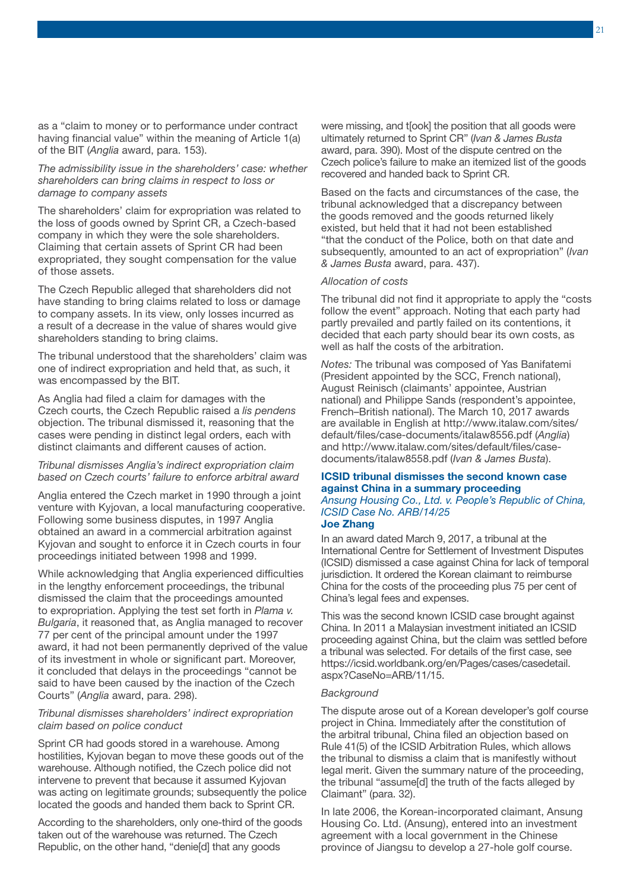as a "claim to money or to performance under contract having financial value" within the meaning of Article 1(a) of the BIT (*Anglia* award, para. 153).

*The admissibility issue in the shareholders' case: whether shareholders can bring claims in respect to loss or damage to company assets*

The shareholders' claim for expropriation was related to the loss of goods owned by Sprint CR, a Czech-based company in which they were the sole shareholders. Claiming that certain assets of Sprint CR had been expropriated, they sought compensation for the value of those assets.

The Czech Republic alleged that shareholders did not have standing to bring claims related to loss or damage to company assets. In its view, only losses incurred as a result of a decrease in the value of shares would give shareholders standing to bring claims.

The tribunal understood that the shareholders' claim was one of indirect expropriation and held that, as such, it was encompassed by the BIT.

As Anglia had filed a claim for damages with the Czech courts, the Czech Republic raised a *lis pendens* objection. The tribunal dismissed it, reasoning that the cases were pending in distinct legal orders, each with distinct claimants and different causes of action.

### *Tribunal dismisses Anglia's indirect expropriation claim based on Czech courts' failure to enforce arbitral award*

Anglia entered the Czech market in 1990 through a joint venture with Kyjovan, a local manufacturing cooperative. Following some business disputes, in 1997 Anglia obtained an award in a commercial arbitration against Kyjovan and sought to enforce it in Czech courts in four proceedings initiated between 1998 and 1999.

While acknowledging that Anglia experienced difficulties in the lengthy enforcement proceedings, the tribunal dismissed the claim that the proceedings amounted to expropriation. Applying the test set forth in *Plama v. Bulgaria*, it reasoned that, as Anglia managed to recover 77 per cent of the principal amount under the 1997 award, it had not been permanently deprived of the value of its investment in whole or significant part. Moreover, it concluded that delays in the proceedings "cannot be said to have been caused by the inaction of the Czech Courts" (*Anglia* award, para. 298).

### *Tribunal dismisses shareholders' indirect expropriation claim based on police conduct*

Sprint CR had goods stored in a warehouse. Among hostilities, Kyjovan began to move these goods out of the warehouse. Although notified, the Czech police did not intervene to prevent that because it assumed Kyjovan was acting on legitimate grounds; subsequently the police located the goods and handed them back to Sprint CR.

According to the shareholders, only one-third of the goods taken out of the warehouse was returned. The Czech Republic, on the other hand, "denie[d] that any goods

were missing, and t[ook] the position that all goods were ultimately returned to Sprint CR" (*Ivan & James Busta* award, para. 390). Most of the dispute centred on the Czech police's failure to make an itemized list of the goods recovered and handed back to Sprint CR.

Based on the facts and circumstances of the case, the tribunal acknowledged that a discrepancy between the goods removed and the goods returned likely existed, but held that it had not been established "that the conduct of the Police, both on that date and subsequently, amounted to an act of expropriation" (*Ivan & James Busta* award, para. 437).

### *Allocation of costs*

The tribunal did not find it appropriate to apply the "costs follow the event" approach. Noting that each party had partly prevailed and partly failed on its contentions, it decided that each party should bear its own costs, as well as half the costs of the arbitration.

*Notes:* The tribunal was composed of Yas Banifatemi (President appointed by the SCC, French national), August Reinisch (claimants' appointee, Austrian national) and Philippe Sands (respondent's appointee, French–British national). The March 10, 2017 awards are available in English at [http://www.italaw.com/sites/](https://www.italaw.com/sites/default/files/case-documents/italaw8556.pdf) [default/files/case-documents/italaw8556.pdf](https://www.italaw.com/sites/default/files/case-documents/italaw8556.pdf) (*Anglia*) and [http://www.italaw.com/sites/default/files/case](https://www.italaw.com/sites/default/files/case-documents/italaw8558.pdf)[documents/italaw8558.pdf](https://www.italaw.com/sites/default/files/case-documents/italaw8558.pdf) (*Ivan & James Busta*).

### ICSID tribunal dismisses the second known case against China in a summary proceeding *Ansung Housing Co., Ltd. v. People's Republic of China, ICSID Case No. ARB/14/25* Joe Zhang

In an award dated March 9, 2017, a tribunal at the International Centre for Settlement of Investment Disputes (ICSID) dismissed a case against China for lack of temporal jurisdiction. It ordered the Korean claimant to reimburse China for the costs of the proceeding plus 75 per cent of China's legal fees and expenses.

This was the second known ICSID case brought against China. In 2011 a Malaysian investment initiated an ICSID proceeding against China, but the claim was settled before a tribunal was selected. For details of the first case, see [https://icsid.worldbank.org/en/Pages/cases/casedetail.](https://icsid.worldbank.org/en/Pages/cases/casedetail.aspx?CaseNo=ARB/11/15) [aspx?CaseNo=ARB/11/15.](https://icsid.worldbank.org/en/Pages/cases/casedetail.aspx?CaseNo=ARB/11/15)

### *Background*

The dispute arose out of a Korean developer's golf course project in China. Immediately after the constitution of the arbitral tribunal, China filed an objection based on Rule 41(5) of the ICSID Arbitration Rules, which allows the tribunal to dismiss a claim that is manifestly without legal merit. Given the summary nature of the proceeding, the tribunal "assume[d] the truth of the facts alleged by Claimant" (para. 32).

In late 2006, the Korean-incorporated claimant, Ansung Housing Co. Ltd. (Ansung), entered into an investment agreement with a local government in the Chinese province of Jiangsu to develop a 27-hole golf course.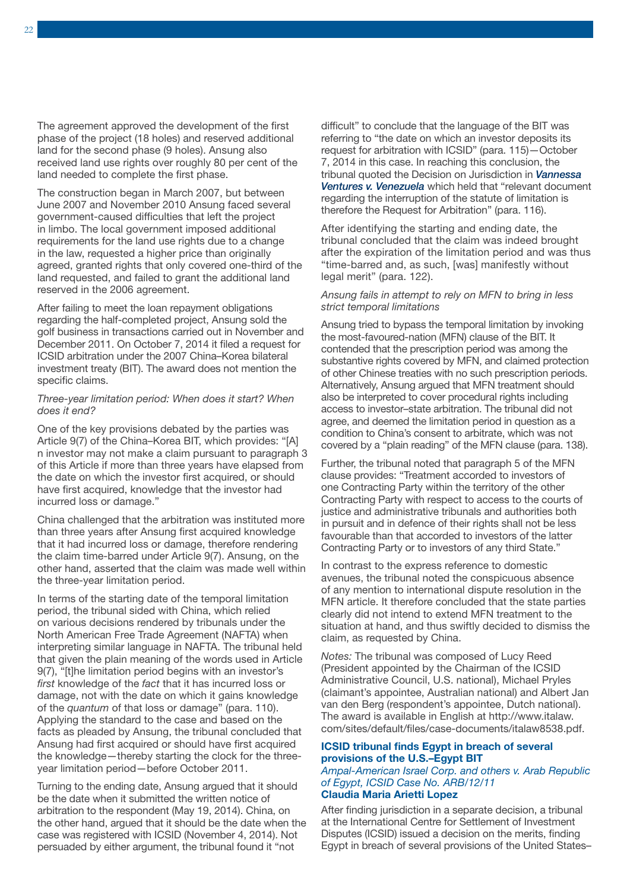The agreement approved the development of the first phase of the project (18 holes) and reserved additional land for the second phase (9 holes). Ansung also received land use rights over roughly 80 per cent of the land needed to complete the first phase.

The construction began in March 2007, but between June 2007 and November 2010 Ansung faced several government-caused difficulties that left the project in limbo. The local government imposed additional requirements for the land use rights due to a change in the law, requested a higher price than originally agreed, granted rights that only covered one-third of the land requested, and failed to grant the additional land reserved in the 2006 agreement.

After failing to meet the loan repayment obligations regarding the half-completed project, Ansung sold the golf business in transactions carried out in November and December 2011. On October 7, 2014 it filed a request for ICSID arbitration under the 2007 China–Korea bilateral investment treaty (BIT). The award does not mention the specific claims.

### *Three-year limitation period: When does it start? When does it end?*

One of the key provisions debated by the parties was Article 9(7) of the China–Korea BIT, which provides: "[A] n investor may not make a claim pursuant to paragraph 3 of this Article if more than three years have elapsed from the date on which the investor first acquired, or should have first acquired, knowledge that the investor had incurred loss or damage."

China challenged that the arbitration was instituted more than three years after Ansung first acquired knowledge that it had incurred loss or damage, therefore rendering the claim time-barred under Article 9(7). Ansung, on the other hand, asserted that the claim was made well within the three-year limitation period.

In terms of the starting date of the temporal limitation period, the tribunal sided with China, which relied on various decisions rendered by tribunals under the North American Free Trade Agreement (NAFTA) when interpreting similar language in NAFTA. The tribunal held that given the plain meaning of the words used in Article 9(7), "[t]he limitation period begins with an investor's *first* knowledge of the *fact* that it has incurred loss or damage, not with the date on which it gains knowledge of the *quantum* of that loss or damage" (para. 110). Applying the standard to the case and based on the facts as pleaded by Ansung, the tribunal concluded that Ansung had first acquired or should have first acquired the knowledge—thereby starting the clock for the threeyear limitation period—before October 2011.

Turning to the ending date, Ansung argued that it should be the date when it submitted the written notice of arbitration to the respondent (May 19, 2014). China, on the other hand, argued that it should be the date when the case was registered with ICSID (November 4, 2014). Not persuaded by either argument, the tribunal found it "not

difficult" to conclude that the language of the BIT was referring to "the date on which an investor deposits its request for arbitration with ICSID" (para. 115)—October 7, 2014 in this case. In reaching this conclusion, the tribunal quoted the Decision on Jurisdiction in *[Vannessa](http://www.iisd.org/itn/2013/03/25/awards-and-decisions-11/)  [Ventures v. Venezuela](http://www.iisd.org/itn/2013/03/25/awards-and-decisions-11/)* which held that "relevant document regarding the interruption of the statute of limitation is therefore the Request for Arbitration" (para. 116).

After identifying the starting and ending date, the tribunal concluded that the claim was indeed brought after the expiration of the limitation period and was thus "time-barred and, as such, [was] manifestly without legal merit" (para. 122).

### *Ansung fails in attempt to rely on MFN to bring in less strict temporal limitations*

Ansung tried to bypass the temporal limitation by invoking the most-favoured-nation (MFN) clause of the BIT. It contended that the prescription period was among the substantive rights covered by MFN, and claimed protection of other Chinese treaties with no such prescription periods. Alternatively, Ansung argued that MFN treatment should also be interpreted to cover procedural rights including access to investor–state arbitration. The tribunal did not agree, and deemed the limitation period in question as a condition to China's consent to arbitrate, which was not covered by a "plain reading" of the MFN clause (para. 138).

Further, the tribunal noted that paragraph 5 of the MFN clause provides: "Treatment accorded to investors of one Contracting Party within the territory of the other Contracting Party with respect to access to the courts of justice and administrative tribunals and authorities both in pursuit and in defence of their rights shall not be less favourable than that accorded to investors of the latter Contracting Party or to investors of any third State."

In contrast to the express reference to domestic avenues, the tribunal noted the conspicuous absence of any mention to international dispute resolution in the MFN article. It therefore concluded that the state parties clearly did not intend to extend MFN treatment to the situation at hand, and thus swiftly decided to dismiss the claim, as requested by China.

*Notes:* The tribunal was composed of Lucy Reed (President appointed by the Chairman of the ICSID Administrative Council, U.S. national), Michael Pryles (claimant's appointee, Australian national) and Albert Jan van den Berg (respondent's appointee, Dutch national). The award is available in English at [http://www.italaw.](https://www.italaw.com/sites/default/files/case-documents/italaw8538.pdf) [com/sites/default/files/case-documents/italaw8538.pdf.](https://www.italaw.com/sites/default/files/case-documents/italaw8538.pdf)

### ICSID tribunal finds Egypt in breach of several provisions of the U.S.–Egypt BIT

*Ampal-American Israel Corp. and others v. Arab Republic of Egypt, ICSID Case No. ARB/12/11* Claudia Maria Arietti Lopez

After finding jurisdiction in a separate decision, a tribunal at the International Centre for Settlement of Investment Disputes (ICSID) issued a decision on the merits, finding Egypt in breach of several provisions of the United States–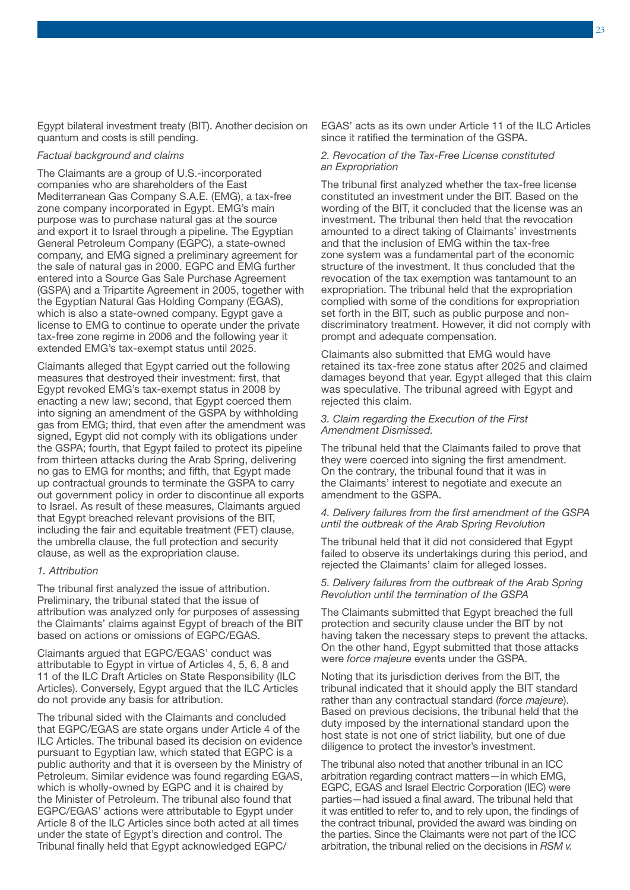Egypt bilateral investment treaty (BIT). Another decision on quantum and costs is still pending.

### *Factual background and claims*

The Claimants are a group of U.S.-incorporated companies who are shareholders of the East Mediterranean Gas Company S.A.E. (EMG), a tax-free zone company incorporated in Egypt. EMG's main purpose was to purchase natural gas at the source and export it to Israel through a pipeline. The Egyptian General Petroleum Company (EGPC), a state-owned company, and EMG signed a preliminary agreement for the sale of natural gas in 2000. EGPC and EMG further entered into a Source Gas Sale Purchase Agreement (GSPA) and a Tripartite Agreement in 2005, together with the Egyptian Natural Gas Holding Company (EGAS), which is also a state-owned company. Egypt gave a license to EMG to continue to operate under the private tax-free zone regime in 2006 and the following year it extended EMG's tax-exempt status until 2025.

Claimants alleged that Egypt carried out the following measures that destroyed their investment: first, that Egypt revoked EMG's tax-exempt status in 2008 by enacting a new law; second, that Egypt coerced them into signing an amendment of the GSPA by withholding gas from EMG; third, that even after the amendment was signed, Egypt did not comply with its obligations under the GSPA; fourth, that Egypt failed to protect its pipeline from thirteen attacks during the Arab Spring, delivering no gas to EMG for months; and fifth, that Egypt made up contractual grounds to terminate the GSPA to carry out government policy in order to discontinue all exports to Israel. As result of these measures, Claimants argued that Egypt breached relevant provisions of the BIT, including the fair and equitable treatment (FET) clause, the umbrella clause, the full protection and security clause, as well as the expropriation clause.

### *1. Attribution*

The tribunal first analyzed the issue of attribution. Preliminary, the tribunal stated that the issue of attribution was analyzed only for purposes of assessing the Claimants' claims against Egypt of breach of the BIT based on actions or omissions of EGPC/EGAS.

Claimants argued that EGPC/EGAS' conduct was attributable to Egypt in virtue of Articles 4, 5, 6, 8 and 11 of the ILC Draft Articles on State Responsibility (ILC Articles). Conversely, Egypt argued that the ILC Articles do not provide any basis for attribution.

The tribunal sided with the Claimants and concluded that EGPC/EGAS are state organs under Article 4 of the ILC Articles. The tribunal based its decision on evidence pursuant to Egyptian law, which stated that EGPC is a public authority and that it is overseen by the Ministry of Petroleum. Similar evidence was found regarding EGAS, which is wholly-owned by EGPC and it is chaired by the Minister of Petroleum. The tribunal also found that EGPC/EGAS' actions were attributable to Egypt under Article 8 of the ILC Articles since both acted at all times under the state of Egypt's direction and control. The Tribunal finally held that Egypt acknowledged EGPC/

EGAS' acts as its own under Article 11 of the ILC Articles since it ratified the termination of the GSPA.

### *2. Revocation of the Tax-Free License constituted an Expropriation*

The tribunal first analyzed whether the tax-free license constituted an investment under the BIT. Based on the wording of the BIT, it concluded that the license was an investment. The tribunal then held that the revocation amounted to a direct taking of Claimants' investments and that the inclusion of EMG within the tax-free zone system was a fundamental part of the economic structure of the investment. It thus concluded that the revocation of the tax exemption was tantamount to an expropriation. The tribunal held that the expropriation complied with some of the conditions for expropriation set forth in the BIT, such as public purpose and nondiscriminatory treatment. However, it did not comply with prompt and adequate compensation.

Claimants also submitted that EMG would have retained its tax-free zone status after 2025 and claimed damages beyond that year. Egypt alleged that this claim was speculative. The tribunal agreed with Egypt and rejected this claim.

### *3. Claim regarding the Execution of the First Amendment Dismissed.*

The tribunal held that the Claimants failed to prove that they were coerced into signing the first amendment. On the contrary, the tribunal found that it was in the Claimants' interest to negotiate and execute an amendment to the GSPA.

### *4. Delivery failures from the first amendment of the GSPA until the outbreak of the Arab Spring Revolution*

The tribunal held that it did not considered that Egypt failed to observe its undertakings during this period, and rejected the Claimants' claim for alleged losses.

### *5. Delivery failures from the outbreak of the Arab Spring Revolution until the termination of the GSPA*

The Claimants submitted that Egypt breached the full protection and security clause under the BIT by not having taken the necessary steps to prevent the attacks. On the other hand, Egypt submitted that those attacks were *force majeure* events under the GSPA.

Noting that its jurisdiction derives from the BIT, the tribunal indicated that it should apply the BIT standard rather than any contractual standard (*force majeure*). Based on previous decisions, the tribunal held that the duty imposed by the international standard upon the host state is not one of strict liability, but one of due diligence to protect the investor's investment.

The tribunal also noted that another tribunal in an ICC arbitration regarding contract matters—in which EMG, EGPC, EGAS and Israel Electric Corporation (IEC) were parties—had issued a final award. The tribunal held that it was entitled to refer to, and to rely upon, the findings of the contract tribunal, provided the award was binding on the parties. Since the Claimants were not part of the ICC arbitration, the tribunal relied on the decisions in *RSM v.*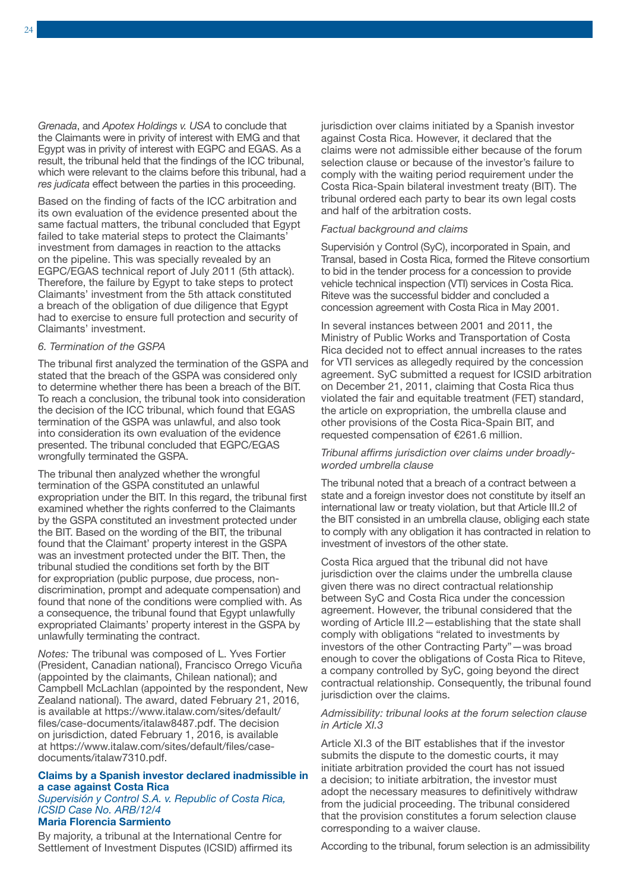*Grenada*, and *Apotex Holdings v. USA* to conclude that the Claimants were in privity of interest with EMG and that Egypt was in privity of interest with EGPC and EGAS. As a result, the tribunal held that the findings of the ICC tribunal, which were relevant to the claims before this tribunal, had a *res judicata* effect between the parties in this proceeding.

Based on the finding of facts of the ICC arbitration and its own evaluation of the evidence presented about the same factual matters, the tribunal concluded that Egypt failed to take material steps to protect the Claimants' investment from damages in reaction to the attacks on the pipeline. This was specially revealed by an EGPC/EGAS technical report of July 2011 (5th attack). Therefore, the failure by Egypt to take steps to protect Claimants' investment from the 5th attack constituted a breach of the obligation of due diligence that Egypt had to exercise to ensure full protection and security of Claimants' investment.

### *6. Termination of the GSPA*

The tribunal first analyzed the termination of the GSPA and stated that the breach of the GSPA was considered only to determine whether there has been a breach of the BIT. To reach a conclusion, the tribunal took into consideration the decision of the ICC tribunal, which found that EGAS termination of the GSPA was unlawful, and also took into consideration its own evaluation of the evidence presented. The tribunal concluded that EGPC/EGAS wrongfully terminated the GSPA.

The tribunal then analyzed whether the wrongful termination of the GSPA constituted an unlawful expropriation under the BIT. In this regard, the tribunal first examined whether the rights conferred to the Claimants by the GSPA constituted an investment protected under the BIT. Based on the wording of the BIT, the tribunal found that the Claimant' property interest in the GSPA was an investment protected under the BIT. Then, the tribunal studied the conditions set forth by the BIT for expropriation (public purpose, due process, nondiscrimination, prompt and adequate compensation) and found that none of the conditions were complied with. As a consequence, the tribunal found that Egypt unlawfully expropriated Claimants' property interest in the GSPA by unlawfully terminating the contract.

*Notes:* The tribunal was composed of L. Yves Fortier (President, Canadian national), Francisco Orrego Vicuña (appointed by the claimants, Chilean national); and Campbell McLachlan (appointed by the respondent, New Zealand national). The award, dated February 21, 2016, is available at [https://www.italaw.com/sites/default/](https://www.italaw.com/sites/default/files/case-documents/italaw8487.pdf) [files/case-documents/italaw8487.pdf](https://www.italaw.com/sites/default/files/case-documents/italaw8487.pdf). The decision on jurisdiction, dated February 1, 2016, is available at [https://www.italaw.com/sites/default/files/case](https://www.italaw.com/sites/default/files/case-documents/italaw7310.pdf)[documents/italaw7310.pdf.](https://www.italaw.com/sites/default/files/case-documents/italaw7310.pdf)

### Claims by a Spanish investor declared inadmissible in a case against Costa Rica

### *Supervisión y Control S.A. v. Republic of Costa Rica, ICSID Case No. ARB/12/4*

### Maria Florencia Sarmiento

By majority, a tribunal at the International Centre for Settlement of Investment Disputes (ICSID) affirmed its jurisdiction over claims initiated by a Spanish investor against Costa Rica. However, it declared that the claims were not admissible either because of the forum selection clause or because of the investor's failure to comply with the waiting period requirement under the Costa Rica-Spain bilateral investment treaty (BIT). The tribunal ordered each party to bear its own legal costs and half of the arbitration costs.

### *Factual background and claims*

Supervisión y Control (SyC), incorporated in Spain, and Transal, based in Costa Rica, formed the Riteve consortium to bid in the tender process for a concession to provide vehicle technical inspection (VTI) services in Costa Rica. Riteve was the successful bidder and concluded a concession agreement with Costa Rica in May 2001.

In several instances between 2001 and 2011, the Ministry of Public Works and Transportation of Costa Rica decided not to effect annual increases to the rates for VTI services as allegedly required by the concession agreement. SyC submitted a request for ICSID arbitration on December 21, 2011, claiming that Costa Rica thus violated the fair and equitable treatment (FET) standard, the article on expropriation, the umbrella clause and other provisions of the Costa Rica-Spain BIT, and requested compensation of €261.6 million.

### *Tribunal affirms jurisdiction over claims under broadlyworded umbrella clause*

The tribunal noted that a breach of a contract between a state and a foreign investor does not constitute by itself an international law or treaty violation, but that Article III.2 of the BIT consisted in an umbrella clause, obliging each state to comply with any obligation it has contracted in relation to investment of investors of the other state.

Costa Rica argued that the tribunal did not have jurisdiction over the claims under the umbrella clause given there was no direct contractual relationship between SyC and Costa Rica under the concession agreement. However, the tribunal considered that the wording of Article III.2—establishing that the state shall comply with obligations "related to investments by investors of the other Contracting Party"—was broad enough to cover the obligations of Costa Rica to Riteve, a company controlled by SyC, going beyond the direct contractual relationship. Consequently, the tribunal found jurisdiction over the claims.

### *Admissibility: tribunal looks at the forum selection clause in Article XI.3*

Article XI.3 of the BIT establishes that if the investor submits the dispute to the domestic courts, it may initiate arbitration provided the court has not issued a decision; to initiate arbitration, the investor must adopt the necessary measures to definitively withdraw from the judicial proceeding. The tribunal considered that the provision constitutes a forum selection clause corresponding to a waiver clause.

According to the tribunal, forum selection is an admissibility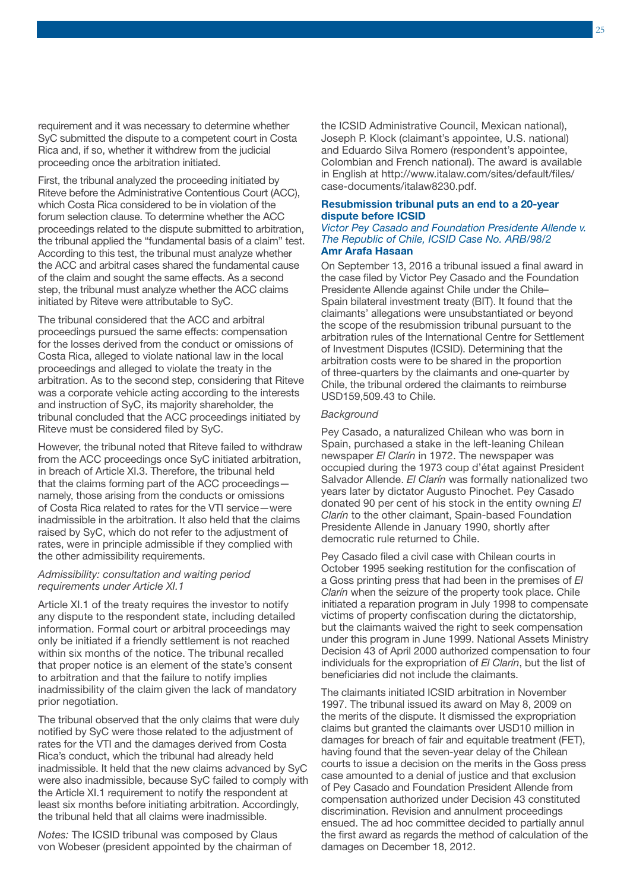requirement and it was necessary to determine whether SyC submitted the dispute to a competent court in Costa Rica and, if so, whether it withdrew from the judicial proceeding once the arbitration initiated.

First, the tribunal analyzed the proceeding initiated by Riteve before the Administrative Contentious Court (ACC), which Costa Rica considered to be in violation of the forum selection clause. To determine whether the ACC proceedings related to the dispute submitted to arbitration, the tribunal applied the "fundamental basis of a claim" test. According to this test, the tribunal must analyze whether the ACC and arbitral cases shared the fundamental cause of the claim and sought the same effects. As a second step, the tribunal must analyze whether the ACC claims initiated by Riteve were attributable to SyC.

The tribunal considered that the ACC and arbitral proceedings pursued the same effects: compensation for the losses derived from the conduct or omissions of Costa Rica, alleged to violate national law in the local proceedings and alleged to violate the treaty in the arbitration. As to the second step, considering that Riteve was a corporate vehicle acting according to the interests and instruction of SyC, its majority shareholder, the tribunal concluded that the ACC proceedings initiated by Riteve must be considered filed by SyC.

However, the tribunal noted that Riteve failed to withdraw from the ACC proceedings once SyC initiated arbitration, in breach of Article XI.3. Therefore, the tribunal held that the claims forming part of the ACC proceedings namely, those arising from the conducts or omissions of Costa Rica related to rates for the VTI service—were inadmissible in the arbitration. It also held that the claims raised by SyC, which do not refer to the adjustment of rates, were in principle admissible if they complied with the other admissibility requirements.

### *Admissibility: consultation and waiting period requirements under Article XI.1*

Article XI.1 of the treaty requires the investor to notify any dispute to the respondent state, including detailed information. Formal court or arbitral proceedings may only be initiated if a friendly settlement is not reached within six months of the notice. The tribunal recalled that proper notice is an element of the state's consent to arbitration and that the failure to notify implies inadmissibility of the claim given the lack of mandatory prior negotiation.

The tribunal observed that the only claims that were duly notified by SyC were those related to the adjustment of rates for the VTI and the damages derived from Costa Rica's conduct, which the tribunal had already held inadmissible. It held that the new claims advanced by SyC were also inadmissible, because SyC failed to comply with the Article XI.1 requirement to notify the respondent at least six months before initiating arbitration. Accordingly, the tribunal held that all claims were inadmissible.

*Notes:* The ICSID tribunal was composed by Claus von Wobeser (president appointed by the chairman of the ICSID Administrative Council, Mexican national), Joseph P. Klock (claimant's appointee, U.S. national) and Eduardo Silva Romero (respondent's appointee, Colombian and French national). The award is available in English at [http://www.italaw.com/sites/default/files/](https://www.italaw.com/sites/default/files/case-documents/italaw8230.pdf) [case-documents/italaw8230.pdf.](https://www.italaw.com/sites/default/files/case-documents/italaw8230.pdf)

### Resubmission tribunal puts an end to a 20-year dispute before ICSID

### *Victor Pey Casado and Foundation Presidente Allende v. The Republic of Chile, ICSID Case No. ARB/98/2* Amr Arafa Hasaan

On September 13, 2016 a tribunal issued a final award in the case filed by Victor Pey Casado and the Foundation Presidente Allende against Chile under the Chile– Spain bilateral investment treaty (BIT). It found that the claimants' allegations were unsubstantiated or beyond the scope of the resubmission tribunal pursuant to the arbitration rules of the International Centre for Settlement of Investment Disputes (ICSID). Determining that the arbitration costs were to be shared in the proportion of three-quarters by the claimants and one-quarter by Chile, the tribunal ordered the claimants to reimburse USD159,509.43 to Chile.

### *Background*

Pey Casado, a naturalized Chilean who was born in Spain, purchased a stake in the left-leaning Chilean newspaper *El Clarín* in 1972. The newspaper was occupied during the 1973 coup d'état against President Salvador Allende. *El Clarín* was formally nationalized two years later by dictator Augusto Pinochet. Pey Casado donated 90 per cent of his stock in the entity owning *El Clarín* to the other claimant, Spain-based Foundation Presidente Allende in January 1990, shortly after democratic rule returned to Chile.

Pey Casado filed a civil case with Chilean courts in October 1995 seeking restitution for the confiscation of a Goss printing press that had been in the premises of *El Clarín* when the seizure of the property took place. Chile initiated a reparation program in July 1998 to compensate victims of property confiscation during the dictatorship, but the claimants waived the right to seek compensation under this program in June 1999. National Assets Ministry Decision 43 of April 2000 authorized compensation to four individuals for the expropriation of *El Clarín*, but the list of beneficiaries did not include the claimants.

The claimants initiated ICSID arbitration in November 1997. The tribunal issued its award on May 8, 2009 on the merits of the dispute. It dismissed the expropriation claims but granted the claimants over USD10 million in damages for breach of fair and equitable treatment (FET), having found that the seven-year delay of the Chilean courts to issue a decision on the merits in the Goss press case amounted to a denial of justice and that exclusion of Pey Casado and Foundation President Allende from compensation authorized under Decision 43 constituted discrimination. Revision and annulment proceedings ensued. The ad hoc committee decided to partially annul the first award as regards the method of calculation of the damages on December 18, 2012.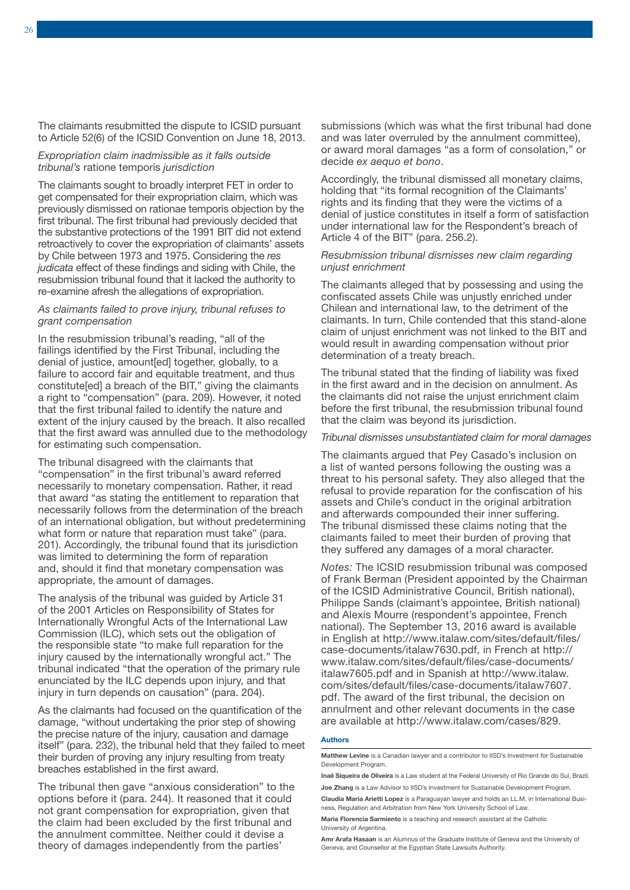The claimants resubmitted the dispute to ICSID pursuant to Article 52(6) of the ICSID Convention on June 18, 2013.

### *Expropriation claim inadmissible as it falls outside tribunal's* ratione temporis *jurisdiction*

The claimants sought to broadly interpret FET in order to get compensated for their expropriation claim, which was previously dismissed on rationae temporis objection by the first tribunal. The first tribunal had previously decided that the substantive protections of the 1991 BIT did not extend retroactively to cover the expropriation of claimants' assets by Chile between 1973 and 1975. Considering the *res judicata* effect of these findings and siding with Chile, the resubmission tribunal found that it lacked the authority to re-examine afresh the allegations of expropriation.

### *As claimants failed to prove injury, tribunal refuses to grant compensation*

In the resubmission tribunal's reading, "all of the failings identified by the First Tribunal, including the denial of justice, amount[ed] together, globally, to a failure to accord fair and equitable treatment, and thus constitute[ed] a breach of the BIT," giving the claimants a right to "compensation" (para. 209). However, it noted that the first tribunal failed to identify the nature and extent of the injury caused by the breach. It also recalled that the first award was annulled due to the methodology for estimating such compensation.

The tribunal disagreed with the claimants that "compensation" in the first tribunal's award referred necessarily to monetary compensation. Rather, it read that award "as stating the entitlement to reparation that necessarily follows from the determination of the breach of an international obligation, but without predetermining what form or nature that reparation must take" (para. 201). Accordingly, the tribunal found that its jurisdiction was limited to determining the form of reparation and, should it find that monetary compensation was appropriate, the amount of damages.

The analysis of the tribunal was guided by Article 31 of the 2001 Articles on Responsibility of States for Internationally Wrongful Acts of the International Law Commission (ILC), which sets out the obligation of the responsible state "to make full reparation for the injury caused by the internationally wrongful act." The tribunal indicated "that the operation of the primary rule enunciated by the ILC depends upon injury, and that injury in turn depends on causation" (para. 204).

As the claimants had focused on the quantification of the damage, "without undertaking the prior step of showing the precise nature of the injury, causation and damage itself" (para. 232), the tribunal held that they failed to meet their burden of proving any injury resulting from treaty breaches established in the first award.

The tribunal then gave "anxious consideration" to the options before it (para. 244). It reasoned that it could not grant compensation for expropriation, given that the claim had been excluded by the first tribunal and the annulment committee. Neither could it devise a theory of damages independently from the parties'

submissions (which was what the first tribunal had done and was later overruled by the annulment committee), or award moral damages "as a form of consolation," or decide *ex aequo et bono*.

Accordingly, the tribunal dismissed all monetary claims, holding that "its formal recognition of the Claimants' rights and its finding that they were the victims of a denial of justice constitutes in itself a form of satisfaction under international law for the Respondent's breach of Article 4 of the BIT" (para. 256.2).

### *Resubmission tribunal dismisses new claim regarding unjust enrichment*

The claimants alleged that by possessing and using the confiscated assets Chile was unjustly enriched under Chilean and international law, to the detriment of the claimants. In turn, Chile contended that this stand-alone claim of unjust enrichment was not linked to the BIT and would result in awarding compensation without prior determination of a treaty breach.

The tribunal stated that the finding of liability was fixed in the first award and in the decision on annulment. As the claimants did not raise the unjust enrichment claim before the first tribunal, the resubmission tribunal found that the claim was beyond its jurisdiction.

### *Tribunal dismisses unsubstantiated claim for moral damages*

The claimants argued that Pey Casado's inclusion on a list of wanted persons following the ousting was a threat to his personal safety. They also alleged that the refusal to provide reparation for the confiscation of his assets and Chile's conduct in the original arbitration and afterwards compounded their inner suffering. The tribunal dismissed these claims noting that the claimants failed to meet their burden of proving that they suffered any damages of a moral character.

*Notes:* The ICSID resubmission tribunal was composed of Frank Berman (President appointed by the Chairman of the ICSID Administrative Council, British national), Philippe Sands (claimant's appointee, British national) and Alexis Mourre (respondent's appointee, French national). The September 13, 2016 award is available in English at [http://www.italaw.com/sites/default/files/](https://www.italaw.com/sites/default/files/case-documents/italaw7630.pdf) [case-documents/italaw7630.pdf,](https://www.italaw.com/sites/default/files/case-documents/italaw7630.pdf) in French at [http://](https://www.italaw.com/sites/default/files/case-documents/italaw7605.pdf) [www.italaw.com/sites/default/files/case-documents/](https://www.italaw.com/sites/default/files/case-documents/italaw7605.pdf) [italaw7605.](https://www.italaw.com/sites/default/files/case-documents/italaw7605.pdf)pdf and in Spanish at [http://www.italaw.](https://www.italaw.com/sites/default/files/case-documents/italaw7607.pdf) [com/sites/default/files/case-documents/italaw7607.](https://www.italaw.com/sites/default/files/case-documents/italaw7607.pdf) [pdf.](https://www.italaw.com/sites/default/files/case-documents/italaw7607.pdf) The award of the first tribunal, the decision on annulment and other relevant documents in the case are available at [http://www.italaw.com/cases/829.](https://www.italaw.com/cases/829)

### Authors

Matthew Levine is a Canadian lawyer and a contributor to IISD's Investment for Sustainable Development Program.

Claudia Maria Arietti Lopez is a Paraguayan lawyer and holds an LL.M. in International Business, Regulation and Arbitration from New York University School of Law.

Maria Florencia Sarmiento is a teaching and research assistant at the Catholic University of Argentina.

Amr Arafa Hasaan is an Alumnus of the Graduate Institute of Geneva and the University of Geneva, and Counsellor at the Egyptian State Lawsuits Authority.

Inaê Siqueira de Oliveira is a Law student at the Federal University of Rio Grande do Sul, Brazil. Joe Zhang is a Law Advisor to IISD's Investment for Sustainable Development Program.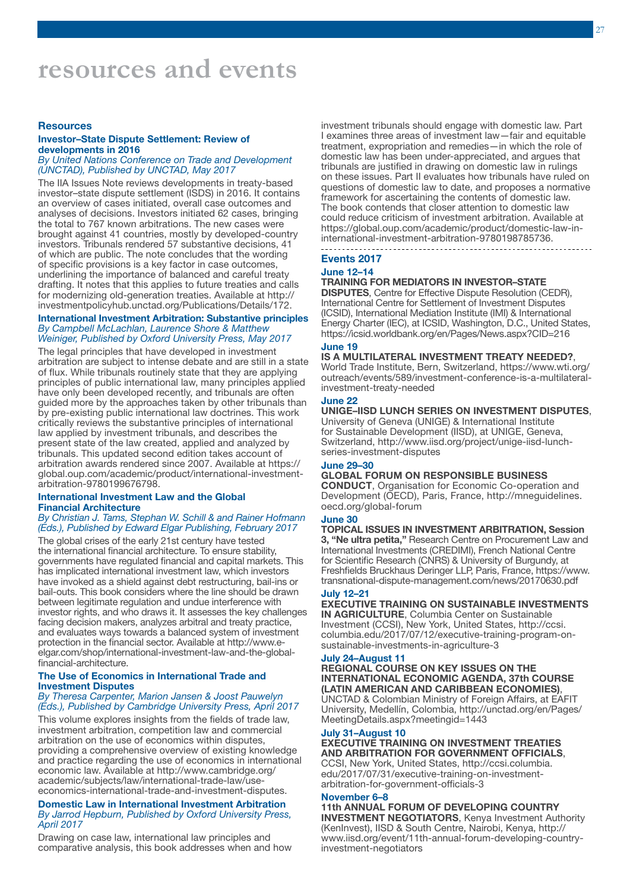### **Resources**

### Investor–State Dispute Settlement: Review of developments in 2016

### *By United Nations Conference on Trade and Development (UNCTAD), Published by UNCTAD, May 2017*

The IIA Issues Note reviews developments in treaty-based investor–state dispute settlement (ISDS) in 2016. It contains an overview of cases initiated, overall case outcomes and analyses of decisions. Investors initiated 62 cases, bringing the total to 767 known arbitrations. The new cases were brought against 41 countries, mostly by developed-country investors. Tribunals rendered 57 substantive decisions, 41 of which are public. The note concludes that the wording of specific provisions is a key factor in case outcomes, underlining the importance of balanced and careful treaty drafting. It notes that this applies to future treaties and calls for modernizing old-generation treaties. Available at [http://](http://investmentpolicyhub.unctad.org/Publications/Details/172) [investmentpolicyhub.unctad.org/Publications/Details/172.](http://investmentpolicyhub.unctad.org/Publications/Details/172)

### International Investment Arbitration: Substantive principles *By Campbell McLachlan, Laurence Shore & Matthew Weiniger, Published by Oxford University Press, May 2017*

The legal principles that have developed in investment arbitration are subject to intense debate and are still in a state of flux. While tribunals routinely state that they are applying principles of public international law, many principles applied have only been developed recently, and tribunals are often guided more by the approaches taken by other tribunals than by pre-existing public international law doctrines. This work critically reviews the substantive principles of international law applied by investment tribunals, and describes the present state of the law created, applied and analyzed by tribunals. This updated second edition takes account of arbitration awards rendered since 2007. Available at [https://](https://global.oup.com/academic/product/international-investment-arbitration-9780199676798?cc=br&lang=en&) [global.oup.com/academic/product/international-investment](https://global.oup.com/academic/product/international-investment-arbitration-9780199676798?cc=br&lang=en&)[arbitration-9780199676798.](https://global.oup.com/academic/product/international-investment-arbitration-9780199676798?cc=br&lang=en&)

### International Investment Law and the Global Financial Architecture

### *By Christian J. Tams, Stephan W. Schill & and Rainer Hofmann (Eds.), Published by Edward Elgar Publishing, February 2017*

The global crises of the early 21st century have tested the international financial architecture. To ensure stability, governments have regulated financial and capital markets. This has implicated international investment law, which investors have invoked as a shield against debt restructuring, bail-ins or bail-outs. This book considers where the line should be drawn between legitimate regulation and undue interference with investor rights, and who draws it. It assesses the key challenges facing decision makers, analyzes arbitral and treaty practice, and evaluates ways towards a balanced system of investment protection in the financial sector. Available at [http://www.e](http://www.e-elgar.com/shop/international-investment-law-and-the-global-financial-architecture)[elgar.com/shop/international-investment-law-and-the-global](http://www.e-elgar.com/shop/international-investment-law-and-the-global-financial-architecture)[financial-architecture.](http://www.e-elgar.com/shop/international-investment-law-and-the-global-financial-architecture)

### The Use of Economics in International Trade and Investment Disputes

### *By Theresa Carpenter, Marion Jansen & Joost Pauwelyn (Eds.), Published by Cambridge University Press, April 2017*

This volume explores insights from the fields of trade law, investment arbitration, competition law and commercial arbitration on the use of economics within disputes, providing a comprehensive overview of existing knowledge and practice regarding the use of economics in international economic law. Available at [http://www.cambridge.org/](http://www.cambridge.org/br/academic/subjects/law/international-trade-law/use-economics-international-trade-and-investment-disputes#QgXMumZzOhhjdUQw.97) [academic/subjects/law/international-trade-law/use](http://www.cambridge.org/br/academic/subjects/law/international-trade-law/use-economics-international-trade-and-investment-disputes#QgXMumZzOhhjdUQw.97)[economics-international-trade-and-investment-disputes.](http://www.cambridge.org/br/academic/subjects/law/international-trade-law/use-economics-international-trade-and-investment-disputes#QgXMumZzOhhjdUQw.97) 

### Domestic Law in International Investment Arbitration *By Jarrod Hepburn, Published by Oxford University Press, April 2017*

Drawing on case law, international law principles and comparative analysis, this book addresses when and how investment tribunals should engage with domestic law. Part I examines three areas of investment law—fair and equitable treatment, expropriation and remedies—in which the role of domestic law has been under-appreciated, and argues that tribunals are justified in drawing on domestic law in rulings on these issues. Part II evaluates how tribunals have ruled on questions of domestic law to date, and proposes a normative framework for ascertaining the contents of domestic law. The book contends that closer attention to domestic law could reduce criticism of investment arbitration. Available at [https://global.oup.com/academic/product/domestic-law-in](https://global.oup.com/academic/product/domestic-law-in-international-investment-arbitration-9780198785736?cc=br&lang=en&)[international-investment-arbitration-9780198785736.](https://global.oup.com/academic/product/domestic-law-in-international-investment-arbitration-9780198785736?cc=br&lang=en&)

### Events 2017

### June 12–14

### TRAINING FOR MEDIATORS IN INVESTOR–STATE

DISPUTES, Centre for Effective Dispute Resolution (CEDR), International Centre for Settlement of Investment Disputes (ICSID), International Mediation Institute (IMI) & International Energy Charter (IEC), at ICSID, Washington, D.C., United States, <https://icsid.worldbank.org/en/Pages/News.aspx?CID=216>

### June 19

IS A MULTILATERAL INVESTMENT TREATY NEEDED?, World Trade Institute, Bern, Switzerland, [https://www.wti.org/](https://www.wti.org/outreach/events/589/investment-conference-is-a-multilateral-investment-treaty-needed/) [outreach/events/589/investment-conference-is-a-multilateral](https://www.wti.org/outreach/events/589/investment-conference-is-a-multilateral-investment-treaty-needed/)[investment-treaty-needed](https://www.wti.org/outreach/events/589/investment-conference-is-a-multilateral-investment-treaty-needed/) 

### June 22

### UNIGE–IISD LUNCH SERIES ON INVESTMENT DISPUTES,

University of Geneva (UNIGE) & International Institute for Sustainable Development (IISD), at UNIGE, Geneva, Switzerland, [http://www.iisd.org/project/unige-iisd-lunch](http://www.iisd.org/project/unige-iisd-lunch-series-investment-disputes)[series-investment-disputes](http://www.iisd.org/project/unige-iisd-lunch-series-investment-disputes) 

### June 29–30

### GLOBAL FORUM ON RESPONSIBLE BUSINESS

CONDUCT, Organisation for Economic Co-operation and Development (OECD), Paris, France, [http://mneguidelines.](http://mneguidelines.oecd.org/global-forum/) [oecd.org/global-forum](http://mneguidelines.oecd.org/global-forum/) 

### June 30

TOPICAL ISSUES IN INVESTMENT ARBITRATION, Session 3, "Ne ultra petita," Research Centre on Procurement Law and International Investments (CREDIMI), French National Centre for Scientific Research (CNRS) & University of Burgundy, at Freshfields Bruckhaus Deringer LLP, Paris, France, [https://www.](https://www.transnational-dispute-management.com/news/20170630.pdf) [transnational-dispute-management.com/news/20170630.pdf](https://www.transnational-dispute-management.com/news/20170630.pdf) 

### July 12–21

EXECUTIVE TRAINING ON SUSTAINABLE INVESTMENTS IN AGRICULTURE, Columbia Center on Sustainable Investment (CCSI), New York, United States, [http://ccsi.](http://ccsi.columbia.edu/2017/07/12/executive-training-program-on-sustainable-investments-in-agriculture-3/) [columbia.edu/2017/07/12/executive-training-program-on](http://ccsi.columbia.edu/2017/07/12/executive-training-program-on-sustainable-investments-in-agriculture-3/)[sustainable-investments-in-agriculture-3](http://ccsi.columbia.edu/2017/07/12/executive-training-program-on-sustainable-investments-in-agriculture-3/) 

### July 24–August 11

REGIONAL COURSE ON KEY ISSUES ON THE INTERNATIONAL ECONOMIC AGENDA, 37th COURSE (LATIN AMERICAN AND CARIBBEAN ECONOMIES), UNCTAD & Colombian Ministry of Foreign Affairs, at EAFIT University, Medellín, Colombia, [http://unctad.org/en/Pages/](http://unctad.org/en/Pages/MeetingDetails.aspx?meetingid=1443)

### [MeetingDetails.aspx?meetingid=1443](http://unctad.org/en/Pages/MeetingDetails.aspx?meetingid=1443)  July 31–August 10

### EXECUTIVE TRAINING ON INVESTMENT TREATIES AND ARBITRATION FOR GOVERNMENT OFFICIALS,

CCSI, New York, United States, [http://ccsi.columbia.](http://ccsi.columbia.edu/2017/07/31/executive-training-on-investment-arbitration-for-government-officials-3/) [edu/2017/07/31/executive-training-on-investment](http://ccsi.columbia.edu/2017/07/31/executive-training-on-investment-arbitration-for-government-officials-3/)[arbitration-for-government-officials-3](http://ccsi.columbia.edu/2017/07/31/executive-training-on-investment-arbitration-for-government-officials-3/) 

### November 6–8

11th ANNUAL FORUM OF DEVELOPING COUNTRY INVESTMENT NEGOTIATORS, Kenya Investment Authority (KenInvest), IISD & South Centre, Nairobi, Kenya, [http://](http://www.iisd.org/event/11th-annual-forum-developing-country-investment-negotiators) [www.iisd.org/event/11th-annual-forum-developing-country](http://www.iisd.org/event/11th-annual-forum-developing-country-investment-negotiators)[investment-negotiators](http://www.iisd.org/event/11th-annual-forum-developing-country-investment-negotiators)